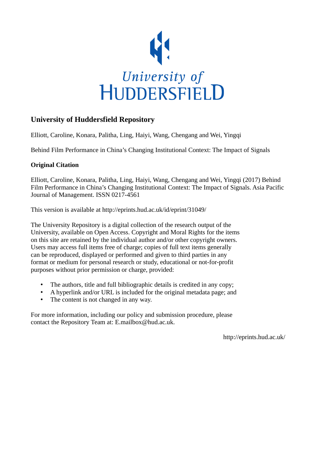

# **University of Huddersfield Repository**

Elliott, Caroline, Konara, Palitha, Ling, Haiyi, Wang, Chengang and Wei, Yingqi

Behind Film Performance in China's Changing Institutional Context: The Impact of Signals

## **Original Citation**

Elliott, Caroline, Konara, Palitha, Ling, Haiyi, Wang, Chengang and Wei, Yingqi (2017) Behind Film Performance in China's Changing Institutional Context: The Impact of Signals. Asia Pacific Journal of Management. ISSN 0217-4561

This version is available at http://eprints.hud.ac.uk/id/eprint/31049/

The University Repository is a digital collection of the research output of the University, available on Open Access. Copyright and Moral Rights for the items on this site are retained by the individual author and/or other copyright owners. Users may access full items free of charge; copies of full text items generally can be reproduced, displayed or performed and given to third parties in any format or medium for personal research or study, educational or not-for-profit purposes without prior permission or charge, provided:

- The authors, title and full bibliographic details is credited in any copy;
- A hyperlink and/or URL is included for the original metadata page; and
- The content is not changed in any way.

For more information, including our policy and submission procedure, please contact the Repository Team at: E.mailbox@hud.ac.uk.

http://eprints.hud.ac.uk/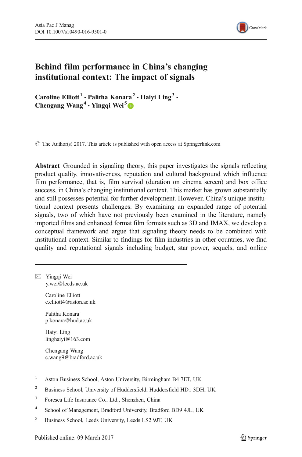

## Behind film performance in China's changing institutional context: The impact of signals

Caroline Elliott<sup>1</sup> · Palitha Konara<sup>2</sup> · Haivi Ling<sup>3</sup> · Chengang Wang<sup>4</sup>  $\cdot$  Yingqi Wei<sup>5</sup>

 $\odot$  The Author(s) 2017. This article is published with open access at Springerlink.com

Abstract Grounded in signaling theory, this paper investigates the signals reflecting product quality, innovativeness, reputation and cultural background which influence film performance, that is, film survival (duration on cinema screen) and box office success, in China's changing institutional context. This market has grown substantially and still possesses potential for further development. However, China's unique institutional context presents challenges. By examining an expanded range of potential signals, two of which have not previously been examined in the literature, namely imported films and enhanced format film formats such as 3D and IMAX, we develop a conceptual framework and argue that signaling theory needs to be combined with institutional context. Similar to findings for film industries in other countries, we find quality and reputational signals including budget, star power, sequels, and online

 $\boxtimes$  Yingqi Wei y.wei@leeds.ac.uk

> Caroline Elliott c.elliott4@aston.ac.uk

Palitha Konara p.konara@hud.ac.uk

Haiyi Ling linghaiyi@163.com

Chengang Wang c.wang9@bradford.ac.uk

- <sup>1</sup> Aston Business School, Aston University, Birmingham B4 7ET, UK
- <sup>2</sup> Business School, University of Huddersfield, Huddersfield HD1 3DH, UK
- <sup>3</sup> Foresea Life Insurance Co., Ltd., Shenzhen, China
- <sup>4</sup> School of Management, Bradford University, Bradford BD9 4JL, UK
- <sup>5</sup> Business School, Leeds University, Leeds LS2 9JT, UK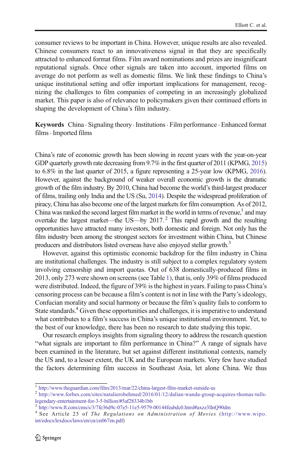consumer reviews to be important in China. However, unique results are also revealed. Chinese consumers react to an innovativeness signal in that they are specifically attracted to enhanced format films. Film award nominations and prizes are insignificant reputational signals. Once other signals are taken into account, imported films on average do not perform as well as domestic films. We link these findings to China's unique institutional setting and offer important implications for management, recognizing the challenges to film companies of competing in an increasingly globalized market. This paper is also of relevance to policymakers given their continued efforts in shaping the development of China's film industry.

Keywords China . Signaling theory. Institutions. Film performance . Enhanced format  $films · Imported films$ 

China's rate of economic growth has been slowing in recent years with the year-on-year GDP quarterly growth rate decreasing from 9.7% in the first quarter of 2011 (KPMG, [2015](#page-31-0)) to 6.8% in the last quarter of 2015, a figure representing a 25-year low (KPMG, [2016\)](#page-31-0). However, against the background of weaker overall economic growth is the dramatic growth of the film industry. By 2010, China had become the world's third-largest producer of films, trailing only India and the US (Su, [2014\)](#page-32-0). Despite the widespread proliferation of piracy, China has also become one of the largest markets for film consumption. As of 2012, China was ranked the second largest film market in the world in terms of revenue, $<sup>1</sup>$  and may</sup> overtake the largest market—the US—by 2017.<sup>2</sup> This rapid growth and the resulting opportunities have attracted many investors, both domestic and foreign. Not only has the film industry been among the strongest sectors for investment within China, but Chinese producers and distributors listed overseas have also enjoyed stellar growth.<sup>3</sup>

However, against this optimistic economic backdrop for the film industry in China are institutional challenges. The industry is still subject to a complex regulatory system involving censorship and import quotas. Out of 638 domestically-produced films in 2013, only 273 were shown on screens (see Table [1\)](#page-3-0), that is, only 39% of films produced were distributed. Indeed, the figure of 39% is the highest in years. Failing to pass China's censoring process can be because a film's content is not in line with the Party's ideology, Confucian morality and social harmony or because the film's quality fails to conform to State standards.<sup>4</sup> Given these opportunities and challenges, it is imperative to understand what contributes to a film's success in China's unique institutional environment. Yet, to the best of our knowledge, there has been no research to date studying this topic.

Our research employs insights from signaling theory to address the research question "what signals are important to film performance in China?" A range of signals have been examined in the literature, but set against different institutional contexts, namely the US and, to a lesser extent, the UK and the European markets. Very few have studied the factors determining film success in Southeast Asia, let alone China. We thus

<sup>1</sup> <http://www.theguardian.com/film/2013/mar/22/china-largest-film-market-outside-us>

<sup>2</sup> [http://www.forbes.com/sites/natalierobehmed/2016/01/12/dalian-wanda-group-acquires-thomas-tulls](http://www.forbes.com/sites/natalierobehmed/2016/01/12/dalian-wanda-group-acquires-thomas-tulls-legendary-entertainment-for-3-5-billion/%235af28334b1bb)[legendary-entertainment-for-3-5-billion/#5af28334b1bb](http://www.forbes.com/sites/natalierobehmed/2016/01/12/dalian-wanda-group-acquires-thomas-tulls-legendary-entertainment-for-3-5-billion/%235af28334b1bb)

<sup>3</sup> [http://www.ft.com/cms/s/3/7fe36d9c-07e5-11e5-9579-00144feabdc0.html#axzz3llnQ90dm](http://www.ft.com/cms/s/3/7fe36d9c-07e5-11e5-9579-00144feabdc0.html%23axzz3llnQ90dm)

<sup>&</sup>lt;sup>4</sup> See Article 25 of The Regulations on Administration of Movies ([http://www.wipo.](http://www.wipo.int/edocs/lexdocs/laws/en/cn/cn067en.pdf) [int/edocs/lexdocs/laws/en/cn/cn067en.pdf\)](http://www.wipo.int/edocs/lexdocs/laws/en/cn/cn067en.pdf)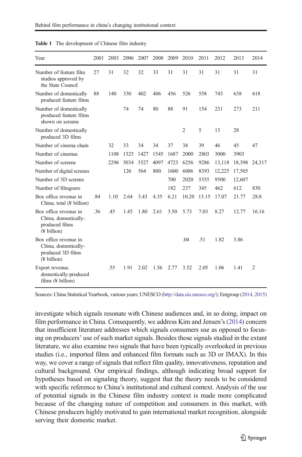| Year                                                                              | 2001 | 2003 | 2006 | 2007 | 2008 | 2009 | 2010           | 2011  | 2012   | 2013   | 2014           |
|-----------------------------------------------------------------------------------|------|------|------|------|------|------|----------------|-------|--------|--------|----------------|
| Number of feature film<br>studios approved by<br>the State Council                | 27   | 31   | 32   | 32   | 33   | 31   | 31             | 31    | 31     | 31     | 31             |
| Number of domestically<br>produced feature films                                  | 88   | 140  | 330  | 402  | 406  | 456  | 526            | 558   | 745    | 638    | 618            |
| Number of domestically<br>produced feature films<br>shown on screens              |      |      | 74   | 74   | 80   | 88   | 91             | 154   | 231    | 273    | 211            |
| Number of domestically<br>produced 3D films                                       |      |      |      |      |      |      | $\overline{2}$ | 5     | 13     | 28     |                |
| Number of cinema chain                                                            |      | 32   | 33   | 34   | 34   | 37   | 38             | 39    | 46     | 45     | 47             |
| Number of cinemas                                                                 |      | 1108 | 1325 | 1427 | 1545 | 1687 | 2000           | 2803  | 3000   | 3903   |                |
| Number of screens                                                                 |      | 2296 | 3034 | 3527 | 4097 | 4723 | 6256           | 9286  | 13,118 | 18,398 | 24,317         |
| Number of digital screens                                                         |      |      | 126  | 564  | 800  | 1600 | 6086           | 8393  | 12,225 | 17,505 |                |
| Number of 3D screens                                                              |      |      |      |      |      | 700  | 2020           | 5355  | 9500   | 12,607 |                |
| Number of filmgoers                                                               |      |      |      |      |      | 182  | 237            | 345   | 462    | 612    | 830            |
| Box office revenue in<br>China, total (¥ billion)                                 | .84  | 1.10 | 2.64 | 3.43 | 4.35 | 6.21 | 10.20          | 13.15 | 17.07  | 21.77  | 28.8           |
| Box office revenue in<br>China, domestically-<br>produced films<br>(¥ billion)    | .36  | .45  | 1.45 | 1.80 | 2.61 | 3.50 | 5.73           | 7.03  | 8.27   | 12.77  | 16.16          |
| Box office revenue in<br>China, domestically-<br>produced 3D films<br>(¥ billion) |      |      |      |      |      |      | .04            | .51   | 1.82   | 3.86   |                |
| Export revenue,<br>domestically-produced<br>films $(F$ billion)                   |      | .55  | 1.91 | 2.02 | 1.56 | 2.77 | 3.52           | 2.05  | 1.06   | 1.41   | $\overline{2}$ |

<span id="page-3-0"></span>Table 1 The development of Chinese film industry

Sources: China Statistical Yearbook, various years; UNESCO (<http://data.uis.unesco.org>/); Entgroup [\(2014](#page-31-0), [2015\)](#page-31-0)

investigate which signals resonate with Chinese audiences and, in so doing, impact on film performance in China. Consequently, we address Kim and Jensen's ([2014](#page-31-0)) concern that insufficient literature addresses which signals consumers use as opposed to focusing on producers' use of such market signals. Besides those signals studied in the extant literature, we also examine two signals that have been typically overlooked in previous studies (i.e., imported films and enhanced film formats such as 3D or IMAX). In this way, we cover a range of signals that reflect film quality, innovativeness, reputation and cultural background. Our empirical findings, although indicating broad support for hypotheses based on signaling theory, suggest that the theory needs to be considered with specific reference to China's institutional and cultural context. Analysis of the use of potential signals in the Chinese film industry context is made more complicated because of the changing nature of competition and consumers in this market, with Chinese producers highly motivated to gain international market recognition, alongside serving their domestic market.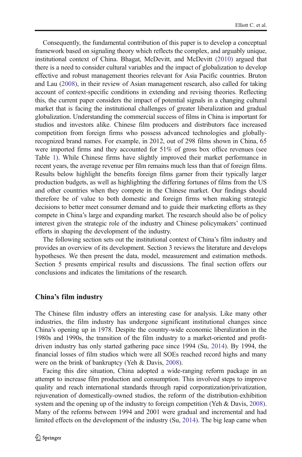Consequently, the fundamental contribution of this paper is to develop a conceptual framework based on signaling theory which reflects the complex, and arguably unique, institutional context of China. Bhagat, McDevitt, and McDevitt [\(2010](#page-30-0)) argued that there is a need to consider cultural variables and the impact of globalization to develop effective and robust management theories relevant for Asia Pacific countries. Bruton and Lau ([2008](#page-30-0)), in their review of Asian management research, also called for taking account of context-specific conditions in extending and revising theories. Reflecting this, the current paper considers the impact of potential signals in a changing cultural market that is facing the institutional challenges of greater liberalization and gradual globalization. Understanding the commercial success of films in China is important for studios and investors alike. Chinese film producers and distributors face increased competition from foreign firms who possess advanced technologies and globallyrecognized brand names. For example, in 2012, out of 298 films shown in China, 65 were imported firms and they accounted for 51% of gross box office revenues (see Table [1](#page-3-0)). While Chinese firms have slightly improved their market performance in recent years, the average revenue per film remains much less than that of foreign films. Results below highlight the benefits foreign films garner from their typically larger production budgets, as well as highlighting the differing fortunes of films from the US and other countries when they compete in the Chinese market. Our findings should therefore be of value to both domestic and foreign firms when making strategic decisions to better meet consumer demand and to guide their marketing efforts as they compete in China's large and expanding market. The research should also be of policy interest given the strategic role of the industry and Chinese policymakers' continued efforts in shaping the development of the industry.

The following section sets out the institutional context of China's film industry and provides an overview of its development. Section 3 reviews the literature and develops hypotheses. We then present the data, model, measurement and estimation methods. Section 5 presents empirical results and discussions. The final section offers our conclusions and indicates the limitations of the research.

#### China's film industry

The Chinese film industry offers an interesting case for analysis. Like many other industries, the film industry has undergone significant institutional changes since China's opening up in 1978. Despite the country-wide economic liberalization in the 1980s and 1990s, the transition of the film industry to a market-oriented and profitdriven industry has only started gathering pace since 1994 (Su, [2014\)](#page-32-0). By 1994, the financial losses of film studios which were all SOEs reached record highs and many were on the brink of bankruptcy (Yeh & Davis, [2008\)](#page-32-0).

Facing this dire situation, China adopted a wide-ranging reform package in an attempt to increase film production and consumption. This involved steps to improve quality and reach international standards through rapid corporatization/privatization, rejuvenation of domestically-owned studios, the reform of the distribution-exhibition system and the opening up of the industry to foreign competition (Yeh & Davis, [2008\)](#page-32-0). Many of the reforms between 1994 and 2001 were gradual and incremental and had limited effects on the development of the industry (Su, [2014\)](#page-32-0). The big leap came when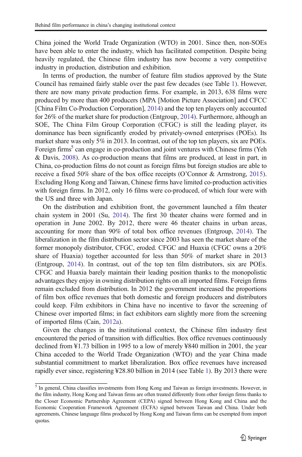China joined the World Trade Organization (WTO) in 2001. Since then, non-SOEs have been able to enter the industry, which has facilitated competition. Despite being heavily regulated, the Chinese film industry has now become a very competitive industry in production, distribution and exhibition.

In terms of production, the number of feature film studios approved by the State Council has remained fairly stable over the past few decades (see Table [1\)](#page-3-0). However, there are now many private production firms. For example, in 2013, 638 films were produced by more than 400 producers (MPA [Motion Picture Association] and CFCC [China Film Co-Production Corporation], [2014](#page-32-0)) and the top ten players only accounted for 26% of the market share for production (Entgroup, [2014](#page-31-0)). Furthermore, although an SOE, The China Film Group Corporation (CFGC) is still the leading player, its dominance has been significantly eroded by privately-owned enterprises (POEs). Its market share was only 5% in 2013. In contrast, out of the top ten players, six are POEs. Foreign firms<sup>5</sup> can engage in co-production and joint ventures with Chinese firms (Yeh & Davis, [2008](#page-32-0)). As co-production means that films are produced, at least in part, in China, co-production films do not count as foreign films but foreign studios are able to receive a fixed 50% share of the box office receipts (O'Connor & Armstrong, [2015\)](#page-32-0). Excluding Hong Kong and Taiwan, Chinese firms have limited co-production activities with foreign firms. In 2012, only 16 films were co-produced, of which four were with the US and three with Japan.

On the distribution and exhibition front, the government launched a film theater chain system in 2001 (Su, [2014\)](#page-32-0). The first 30 theater chains were formed and in operation in June 2002. By 2012, there were 46 theater chains in urban areas, accounting for more than 90% of total box office revenues (Entgroup, [2014](#page-31-0)). The liberalization in the film distribution sector since 2003 has seen the market share of the former monopoly distributor, CFGC, eroded. CFGC and Huaxia (CFGC owns a 20% share of Huaxia) together accounted for less than 50% of market share in 2013 (Entgroup, [2014\)](#page-31-0). In contrast, out of the top ten film distributors, six are POEs. CFGC and Huaxia barely maintain their leading position thanks to the monopolistic advantages they enjoy in owning distribution rights on all imported films. Foreign firms remain excluded from distribution. In 2012 the government increased the proportions of film box office revenues that both domestic and foreign producers and distributors could keep. Film exhibitors in China have no incentive to favor the screening of Chinese over imported films; in fact exhibitors earn slightly more from the screening of imported films (Cain, [2012a](#page-30-0)).

Given the changes in the institutional context, the Chinese film industry first encountered the period of transition with difficulties. Box office revenues continuously declined from ¥1.73 billion in 1995 to a low of merely ¥840 million in 2001, the year China acceded to the World Trade Organization (WTO) and the year China made substantial commitment to market liberalization. Box office revenues have increased rapidly ever since, registering ¥28.80 billion in 2014 (see Table [1\)](#page-3-0). By 2013 there were

<sup>5</sup> In general, China classifies investments from Hong Kong and Taiwan as foreign investments. However, in the film industry, Hong Kong and Taiwan firms are often treated differently from other foreign firms thanks to the Closer Economic Partnership Agreement (CEPA) signed between Hong Kong and China and the Economic Cooperation Framework Agreement (ECFA) signed between Taiwan and China. Under both agreements, Chinese language films produced by Hong Kong and Taiwan firms can be exempted from import quotas.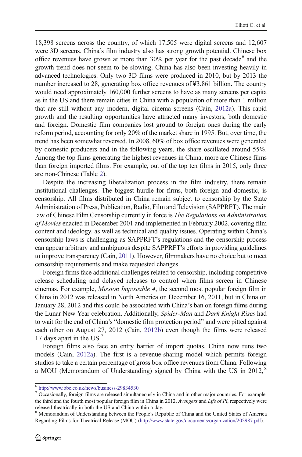18,398 screens across the country, of which 17,505 were digital screens and 12,607 were 3D screens. China's film industry also has strong growth potential. Chinese box office revenues have grown at more than  $30\%$  per year for the past decade<sup>6</sup> and the growth trend does not seem to be slowing. China has also been investing heavily in advanced technologies. Only two 3D films were produced in 2010, but by 2013 the number increased to 28, generating box office revenues of ¥3.861 billion. The country would need approximately 160,000 further screens to have as many screens per capita as in the US and there remain cities in China with a population of more than 1 million that are still without any modern, digital cinema screens (Cain, [2012a](#page-30-0)). This rapid growth and the resulting opportunities have attracted many investors, both domestic and foreign. Domestic film companies lost ground to foreign ones during the early reform period, accounting for only 20% of the market share in 1995. But, over time, the trend has been somewhat reversed. In 2008, 60% of box office revenues were generated by domestic producers and in the following years, the share oscillated around 55%. Among the top films generating the highest revenues in China, more are Chinese films than foreign imported films. For example, out of the top ten films in 2015, only three are non-Chinese (Table [2](#page-7-0)).

Despite the increasing liberalization process in the film industry, there remain institutional challenges. The biggest hurdle for firms, both foreign and domestic, is censorship. All films distributed in China remain subject to censorship by the State Administration of Press, Publication, Radio, Film and Television (SAPPRFT). The main law of Chinese Film Censorship currently in force is The Regulations on Administration of Movies enacted in December 2001 and implemented in February 2002, covering film content and ideology, as well as technical and quality issues. Operating within China's censorship laws is challenging as SAPPRFT's regulations and the censorship process can appear arbitrary and ambiguous despite SAPPRFT's efforts in providing guidelines to improve transparency (Cain, [2011\)](#page-30-0). However, filmmakers have no choice but to meet censorship requirements and make requested changes.

Foreign firms face additional challenges related to censorship, including competitive release scheduling and delayed releases to control when films screen in Chinese cinemas. For example, Mission Impossible 4, the second most popular foreign film in China in 2012 was released in North America on December 16, 2011, but in China on January 28, 2012 and this could be associated with China's ban on foreign films during the Lunar New Year celebration. Additionally, Spider-Man and Dark Knight Rises had to wait for the end of China's "domestic film protection period" and were pitted against each other on August 27, 2012 (Cain, [2012b](#page-30-0)) even though the films were released 17 days apart in the US.<sup>7</sup>

Foreign films also face an entry barrier of import quotas. China now runs two models (Cain, [2012a](#page-30-0)). The first is a revenue-sharing model which permits foreign studios to take a certain percentage of gross box office revenues from China. Following a MOU (Memorandum of Understanding) signed by China with the US in 2012, $^8$ 

<sup>6</sup> <http://www.bbc.co.uk/news/business-29834530>

<sup>7</sup> Occasionally, foreign films are released simultaneously in China and in other major countries. For example, the third and the fourth most popular foreign film in China in 2012, Avengers and Life of Pi, respectively were released theatrically in both the US and China within a day.

<sup>8</sup> Memorandum of Understanding between the People's Republic of China and the United States of America Regarding Films for Theatrical Release (MOU) ([http://www.state.gov/documents/organization/202987.pdf\)](http://www.state.gov/documents/organization/202987.pdf).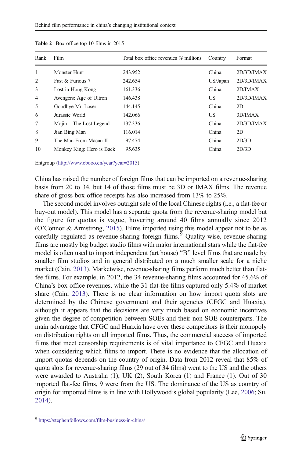| Rank           | Film                      | Total box office revenues (\ine million) | Country  | Format     |
|----------------|---------------------------|------------------------------------------|----------|------------|
| 1              | Monster Hunt              | 243.952                                  | China    | 2D/3D/IMAX |
| 2              | Fast & Furious 7          | 242.654                                  | US/Japan | 2D/3D/IMAX |
| 3              | Lost in Hong Kong         | 161.336                                  | China    | 2D/IMAX    |
| $\overline{4}$ | Avengers: Age of Ultron   | 146.438                                  | US       | 2D/3D/IMAX |
| 5              | Goodbye Mr. Loser         | 144.145                                  | China    | 2D         |
| 6              | Jurassic World            | 142.066                                  | US       | 3D/IMAX    |
| 7              | Mojin – The Lost Legend   | 137.336                                  | China    | 2D/3D/IMAX |
| 8              | Jian Bing Man             | 116.014                                  | China    | 2D         |
| 9              | The Man From Macau II     | 97.474                                   | China    | 2D/3D      |
| 10             | Monkey King: Hero is Back | 95.635                                   | China    | 2D/3D      |

<span id="page-7-0"></span>Table 2 Box office top 10 films in 2015

Entgroup [\(http://www.cbooo.cn/year?year=2015](http://www.cbooo.cn/year?year=2015))

China has raised the number of foreign films that can be imported on a revenue-sharing basis from 20 to 34, but 14 of those films must be 3D or IMAX films. The revenue share of gross box office receipts has also increased from 13% to 25%.

The second model involves outright sale of the local Chinese rights (i.e., a flat-fee or buy-out model). This model has a separate quota from the revenue-sharing model but the figure for quotas is vague, hovering around 40 films annually since 2012 (O'Connor & Armstrong, [2015](#page-32-0)). Films imported using this model appear not to be as carefully regulated as revenue-sharing foreign films.<sup>9</sup> Quality-wise, revenue-sharing films are mostly big budget studio films with major international stars while the flat-fee model is often used to import independent (art house) "B" level films that are made by smaller film studios and in general distributed on a much smaller scale for a niche market (Cain, [2013](#page-30-0)). Marketwise, revenue-sharing films perform much better than flatfee films. For example, in 2012, the 34 revenue-sharing films accounted for 45.6% of China's box office revenues, while the 31 flat-fee films captured only 5.4% of market share (Cain, [2013\)](#page-30-0). There is no clear information on how import quota slots are determined by the Chinese government and their agencies (CFGC and Huaxia), although it appears that the decisions are very much based on economic incentives given the degree of competition between SOEs and their non-SOE counterparts. The main advantage that CFGC and Huaxia have over these competitors is their monopoly on distribution rights on all imported films. Thus, the commercial success of imported films that meet censorship requirements is of vital importance to CFGC and Huaxia when considering which films to import. There is no evidence that the allocation of import quotas depends on the country of origin. Data from 2012 reveal that 85% of quota slots for revenue-sharing films (29 out of 34 films) went to the US and the others were awarded to Australia (1), UK (2), South Korea (1) and France (1). Out of 30 imported flat-fee films, 9 were from the US. The dominance of the US as country of origin for imported films is in line with Hollywood's global popularity (Lee, [2006](#page-31-0); Su, [2014\)](#page-32-0).

<sup>9</sup> <https://stephenfollows.com/film-business-in-china/>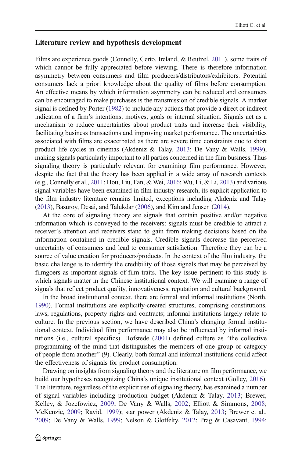### Literature review and hypothesis development

Films are experience goods (Connelly, Certo, Ireland, & Reutzel, [2011\)](#page-31-0), some traits of which cannot be fully appreciated before viewing. There is therefore information asymmetry between consumers and film producers/distributors/exhibitors. Potential consumers lack a priori knowledge about the quality of films before consumption. An effective means by which information asymmetry can be reduced and consumers can be encouraged to make purchases is the transmission of credible signals. A market signal is defined by Porter [\(1982](#page-32-0)) to include any actions that provide a direct or indirect indication of a firm's intentions, motives, goals or internal situation. Signals act as a mechanism to reduce uncertainties about product traits and increase their visibility, facilitating business transactions and improving market performance. The uncertainties associated with films are exacerbated as there are severe time constraints due to short product life cycles in cinemas (Akdeniz & Talay, [2013](#page-30-0); De Vany & Walls, [1999\)](#page-31-0), making signals particularly important to all parties concerned in the film business. Thus signaling theory is particularly relevant for examining film performance. However, despite the fact that the theory has been applied in a wide array of research contexts (e.g., Connelly et al., [2011;](#page-31-0) Hou, Liu, Fan, & Wei, [2016;](#page-31-0) Wu, Li, & Li, [2013](#page-32-0)) and various signal variables have been examined in film industry research, its explicit application to the film industry literature remains limited, exceptions including Akdeniz and Talay [\(2013](#page-30-0)), Basuroy, Desai, and Talukdar [\(2006](#page-30-0)), and Kim and Jensen [\(2014](#page-31-0)).

At the core of signaling theory are signals that contain positive and/or negative information which is conveyed to the receivers: signals must be credible to attract a receiver's attention and receivers stand to gain from making decisions based on the information contained in credible signals. Credible signals decrease the perceived uncertainty of consumers and lead to consumer satisfaction. Therefore they can be a source of value creation for producers/products. In the context of the film industry, the basic challenge is to identify the credibility of those signals that may be perceived by filmgoers as important signals of film traits. The key issue pertinent to this study is which signals matter in the Chinese institutional context. We will examine a range of signals that reflect product quality, innovativeness, reputation and cultural background.

In the broad institutional context, there are formal and informal institutions (North, [1990\)](#page-32-0). Formal institutions are explicitly-created structures, comprising constitutions, laws, regulations, property rights and contracts; informal institutions largely relate to culture. In the previous section, we have described China's changing formal institutional context. Individual film performance may also be influenced by informal institutions (i.e., cultural specifics). Hofstede  $(2001)$  $(2001)$  $(2001)$  defined culture as "the collective programming of the mind that distinguishes the members of one group or category of people from another^ (9). Clearly, both formal and informal institutions could affect the effectiveness of signals for product consumption.

Drawing on insights from signaling theory and the literature on film performance, we build our hypotheses recognizing China's unique institutional context (Golley, [2016\)](#page-31-0). The literature, regardless of the explicit use of signaling theory, has examined a number of signal variables including production budget (Akdeniz & Talay, [2013](#page-30-0); Brewer, Kelley, & Jozefowicz, [2009](#page-30-0); De Vany & Walls, [2002](#page-31-0); Elliott & Simmons, [2008;](#page-31-0) McKenzie, [2009](#page-32-0); Ravid, [1999](#page-32-0)); star power (Akdeniz & Talay, [2013;](#page-30-0) Brewer et al., [2009;](#page-30-0) De Vany & Walls, [1999](#page-31-0); Nelson & Glotfelty, [2012;](#page-32-0) Prag & Casavant, [1994;](#page-32-0)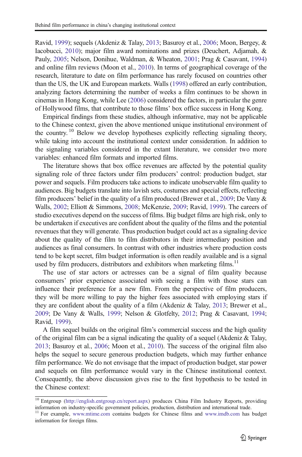Ravid, [1999\)](#page-32-0); sequels (Akdeniz & Talay, [2013;](#page-30-0) Basuroy et al., [2006;](#page-30-0) Moon, Bergey, & Iacobucci, [2010](#page-32-0)); major film award nominations and prizes (Deuchert, Adjamah, & Pauly, [2005](#page-31-0); Nelson, Donihue, Waldman, & Wheaton, [2001;](#page-32-0) Prag & Casavant, [1994](#page-32-0)) and online film reviews (Moon et al., [2010](#page-32-0)). In terms of geographical coverage of the research, literature to date on film performance has rarely focused on countries other than the US, the UK and European markets. Walls ([1998](#page-32-0)) offered an early contribution, analyzing factors determining the number of weeks a film continues to be shown in cinemas in Hong Kong, while Lee [\(2006](#page-31-0)) considered the factors, in particular the genre of Hollywood films, that contribute to those films' box office success in Hong Kong.

Empirical findings from these studies, although informative, may not be applicable to the Chinese context, given the above mentioned unique institutional environment of the country.<sup>10</sup> Below we develop hypotheses explicitly reflecting signaling theory, while taking into account the institutional context under consideration. In addition to the signaling variables considered in the extant literature, we consider two more variables: enhanced film formats and imported films.

The literature shows that box office revenues are affected by the potential quality signaling role of three factors under film producers' control: production budget, star power and sequels. Film producers take actions to indicate unobservable film quality to audiences. Big budgets translate into lavish sets, costumes and special effects, reflecting film producers' belief in the quality of a film produced (Brewer et al., [2009;](#page-30-0) De Vany & Walls, [2002](#page-31-0); Elliott & Simmons, [2008;](#page-31-0) McKenzie, [2009](#page-32-0); Ravid, [1999](#page-32-0)). The careers of studio executives depend on the success of films. Big budget films are high risk, only to be undertaken if executives are confident about the quality of the films and the potential revenues that they will generate. Thus production budget could act as a signaling device about the quality of the film to film distributors in their intermediary position and audiences as final consumers. In contrast with other industries where production costs tend to be kept secret, film budget information is often readily available and is a signal used by film producers, distributors and exhibitors when marketing films.<sup>11</sup>

The use of star actors or actresses can be a signal of film quality because consumers' prior experience associated with seeing a film with those stars can influence their preference for a new film. From the perspective of film producers, they will be more willing to pay the higher fees associated with employing stars if they are confident about the quality of a film (Akdeniz & Talay, [2013](#page-30-0); Brewer et al., [2009;](#page-30-0) De Vany & Walls, [1999](#page-31-0); Nelson & Glotfelty, [2012;](#page-32-0) Prag & Casavant, [1994;](#page-32-0) Ravid, [1999\)](#page-32-0).

A film sequel builds on the original film's commercial success and the high quality of the original film can be a signal indicating the quality of a sequel (Akdeniz & Talay, [2013;](#page-30-0) Basuroy et al., [2006;](#page-30-0) Moon et al., [2010](#page-32-0)). The success of the original film also helps the sequel to secure generous production budgets, which may further enhance film performance. We do not envisage that the impact of production budget, star power and sequels on film performance would vary in the Chinese institutional context. Consequently, the above discussion gives rise to the first hypothesis to be tested in the Chinese context:

<sup>10</sup> Entgroup ([http://english.entgroup.cn/report.aspx\)](http://english.entgroup.cn/report.aspx) produces China Film Industry Reports, providing information on industry-specific government policies, production, distribution and international trade.

<sup>&</sup>lt;sup>11</sup> For example, [www.mtime.com](http://www.mtime.com) contains budgets for Chinese films and [www.imdb.com](http://www.imdb.com) has budget information for foreign films.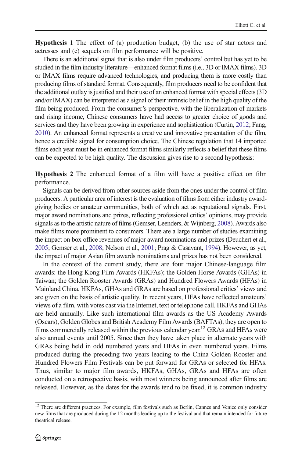Hypothesis 1 The effect of (a) production budget, (b) the use of star actors and actresses and (c) sequels on film performance will be positive.

There is an additional signal that is also under film producers' control but has yet to be studied in the film industry literature—enhanced format films (i.e., 3D or IMAX films). 3D or IMAX films require advanced technologies, and producing them is more costly than producing films of standard format. Consequently, film producers need to be confident that the additional outlay is justified and their use of an enhanced format with special effects (3D and/or IMAX) can be interpreted as a signal of their intrinsic belief in the high quality of the film being produced. From the consumer's perspective, with the liberalization of markets and rising income, Chinese consumers have had access to greater choice of goods and services and they have been growing in experience and sophistication (Curtin, [2012](#page-31-0); Fang, [2010](#page-31-0)). An enhanced format represents a creative and innovative presentation of the film, hence a credible signal for consumption choice. The Chinese regulation that 14 imported films each year must be in enhanced format films similarly reflects a belief that these films can be expected to be high quality. The discussion gives rise to a second hypothesis:

Hypothesis 2 The enhanced format of a film will have a positive effect on film performance.

Signals can be derived from other sources aside from the ones under the control of film producers. A particular area of interest is the evaluation of films from either industry awardgiving bodies or amateur communities, both of which act as reputational signals. First, major award nominations and prizes, reflecting professional critics' opinions, may provide signals as to the artistic nature of films (Gemser, Leenders, & Wijnberg, [2008\)](#page-31-0). Awards also make films more prominent to consumers. There are a large number of studies examining the impact on box office revenues of major award nominations and prizes (Deuchert et al., [2005](#page-31-0); Gemser et al., [2008;](#page-31-0) Nelson et al., [2001;](#page-32-0) Prag & Casavant, [1994](#page-32-0)). However, as yet, the impact of major Asian film awards nominations and prizes has not been considered.

In the context of the current study, there are four major Chinese-language film awards: the Hong Kong Film Awards (HKFAs); the Golden Horse Awards (GHAs) in Taiwan; the Golden Rooster Awards (GRAs) and Hundred Flowers Awards (HFAs) in Mainland China. HKFAs, GHAs and GRAs are based on professional critics' views and are given on the basis of artistic quality. In recent years, HFAs have reflected amateurs' views of a film, with votes cast via the Internet, text or telephone call. HKFAs and GHAs are held annually. Like such international film awards as the US Academy Awards (Oscars), Golden Globes and British Academy Film Awards (BAFTAs), they are open to films commercially released within the previous calendar year.<sup>12</sup> GRAs and HFAs were also annual events until 2005. Since then they have taken place in alternate years with GRAs being held in odd numbered years and HFAs in even numbered years. Films produced during the preceding two years leading to the China Golden Rooster and Hundred Flowers Film Festivals can be put forward for GRAs or selected for HFAs. Thus, similar to major film awards, HKFAs, GHAs, GRAs and HFAs are often conducted on a retrospective basis, with most winners being announced after films are released. However, as the dates for the awards tend to be fixed, it is common industry

<sup>&</sup>lt;sup>12</sup> There are different practices. For example, film festivals such as Berlin, Cannes and Venice only consider new films that are produced during the 12 months leading up to the festival and that remain intended for future theatrical release.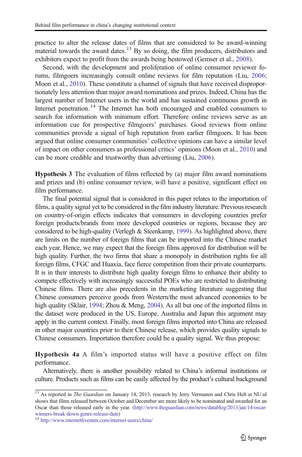practice to alter the release dates of films that are considered to be award-winning material towards the award dates.<sup>13</sup> By so doing, the film producers, distributors and exhibitors expect to profit from the awards being bestowed (Gemser et al., [2008](#page-31-0)).

Second, with the development and proliferation of online consumer reviewer forums, filmgoers increasingly consult online reviews for film reputation (Liu, [2006;](#page-32-0) Moon et al., [2010\)](#page-32-0). These constitute a channel of signals that have received disproportionately less attention than major award nominations and prizes. Indeed, China has the largest number of Internet users in the world and has sustained continuous growth in Internet penetration.<sup>14</sup> The Internet has both encouraged and enabled consumers to search for information with minimum effort. Therefore online reviews serve as an information cue for prospective filmgoers' purchases. Good reviews from online communities provide a signal of high reputation from earlier filmgoers. It has been argued that online consumer communities' collective opinions can have a similar level of impact on other consumers as professional critics' opinions (Moon et al., [2010](#page-32-0)) and can be more credible and trustworthy than advertising (Liu, [2006\)](#page-32-0).

Hypothesis 3 The evaluation of films reflected by (a) major film award nominations and prizes and (b) online consumer review, will have a positive, significant effect on film performance.

The final potential signal that is considered in this paper relates to the importation of films, a quality signal yet to be considered in the film industry literature. Previous research on country-of-origin effects indicates that consumers in developing countries prefer foreign products/brands from more developed countries or regions, because they are considered to be high-quality (Verlegh & Steenkamp, [1999](#page-32-0)). As highlighted above, there are limits on the number of foreign films that can be imported into the Chinese market each year. Hence, we may expect that the foreign films approved for distribution will be high quality. Further, the two firms that share a monopoly in distribution rights for all foreign films, CFGC and Huaxia, face fierce competition from their private counterparts. It is in their interests to distribute high quality foreign films to enhance their ability to compete effectively with increasingly successful POEs who are restricted to distributing Chinese films. There are also precedents in the marketing literature suggesting that Chinese consumers perceive goods from Western/the most advanced economies to be high quality (Sklair, [1994;](#page-32-0) Zhou & Meng, [2004](#page-32-0)). As all but one of the imported films in the dataset were produced in the US, Europe, Australia and Japan this argument may apply in the current context. Finally, most foreign films imported into China are released in other major countries prior to their Chinese release, which provides quality signals to Chinese consumers. Importation therefore could be a quality signal. We thus propose:

Hypothesis 4a A film's imported status will have a positive effect on film performance.

Alternatively, there is another possibility related to China's informal institutions or culture. Products such as films can be easily affected by the product's cultural background

<sup>&</sup>lt;sup>13</sup> As reported in *The Guardian* on January 14, 2013, research by Jerry Vermanen and Chris Helt at NU.nl shows that films released between October and December are more likely to be nominated and awarded for an Oscar than those released early in the year. [\(http://www.theguardian.com/news/datablog/2013/jan/14/oscar](http://www.theguardian.com/news/datablog/2013/jan/14/oscar-winners-break-down-genre-release-date)[winners-break-down-genre-release-date](http://www.theguardian.com/news/datablog/2013/jan/14/oscar-winners-break-down-genre-release-date)) <sup>14</sup> <http://www.internetlivestats.com/internet-users/china/>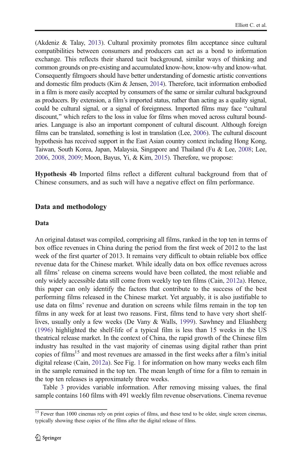(Akdeniz & Talay, [2013](#page-30-0)). Cultural proximity promotes film acceptance since cultural compatibilities between consumers and producers can act as a bond to information exchange. This reflects their shared tacit background, similar ways of thinking and common grounds on pre-existing and accumulated know-how, know-why and know-what. Consequently filmgoers should have better understanding of domestic artistic conventions and domestic film products (Kim & Jensen, [2014](#page-31-0)). Therefore, tacit information embodied in a film is more easily accepted by consumers of the same or similar cultural background as producers. By extension, a film's imported status, rather than acting as a quality signal, could be cultural signal, or a signal of foreignness. Imported films may face "cultural discount," which refers to the loss in value for films when moved across cultural boundaries. Language is also an important component of cultural discount. Although foreign films can be translated, something is lost in translation (Lee, [2006](#page-31-0)). The cultural discount hypothesis has received support in the East Asian country context including Hong Kong, Taiwan, South Korea, Japan, Malaysia, Singapore and Thailand (Fu & Lee, [2008;](#page-31-0) Lee, [2006](#page-31-0), [2008, 2009;](#page-31-0) Moon, Bayus, Yi, & Kim, [2015\)](#page-32-0). Therefore, we propose:

Hypothesis 4b Imported films reflect a different cultural background from that of Chinese consumers, and as such will have a negative effect on film performance.

## Data and methodology

#### Data

An original dataset was compiled, comprising all films, ranked in the top ten in terms of box office revenues in China during the period from the first week of 2012 to the last week of the first quarter of 2013. It remains very difficult to obtain reliable box office revenue data for the Chinese market. While ideally data on box office revenues across all films' release on cinema screens would have been collated, the most reliable and only widely accessible data still come from weekly top ten films (Cain, [2012a](#page-30-0)). Hence, this paper can only identify the factors that contribute to the success of the best performing films released in the Chinese market. Yet arguably, it is also justifiable to use data on films' revenue and duration on screens while films remain in the top ten films in any week for at least two reasons. First, films tend to have very short shelflives, usually only a few weeks (De Vany & Walls, [1999](#page-31-0)). Sawhney and Eliashberg [\(1996\)](#page-32-0) highlighted the shelf-life of a typical film is less than 15 weeks in the US theatrical release market. In the context of China, the rapid growth of the Chinese film industry has resulted in the vast majority of cinemas using digital rather than print copies of films<sup>15</sup> and most revenues are amassed in the first weeks after a film's initial digital release (Cain, [2012a](#page-30-0)). See Fig. [1](#page-13-0) for information on how many weeks each film in the sample remained in the top ten. The mean length of time for a film to remain in the top ten releases is approximately three weeks.

Table [3](#page-14-0) provides variable information. After removing missing values, the final sample contains 160 films with 491 weekly film revenue observations. Cinema revenue

<sup>&</sup>lt;sup>15</sup> Fewer than 1000 cinemas rely on print copies of films, and these tend to be older, single screen cinemas, typically showing these copies of the films after the digital release of films.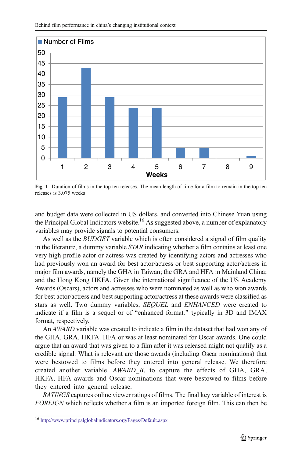<span id="page-13-0"></span>

Fig. 1 Duration of films in the top ten releases. The mean length of time for a film to remain in the top ten releases is 3.075 weeks

123456789 **Weeks**

and budget data were collected in US dollars, and converted into Chinese Yuan using the Principal Global Indicators website.<sup>16</sup> As suggested above, a number of explanatory variables may provide signals to potential consumers.

As well as the *BUDGET* variable which is often considered a signal of film quality in the literature, a dummy variable STAR indicating whether a film contains at least one very high profile actor or actress was created by identifying actors and actresses who had previously won an award for best actor/actress or best supporting actor/actress in major film awards, namely the GHA in Taiwan; the GRA and HFA in Mainland China; and the Hong Kong HKFA. Given the international significance of the US Academy Awards (Oscars), actors and actresses who were nominated as well as who won awards for best actor/actress and best supporting actor/actress at these awards were classified as stars as well. Two dummy variables, SEQUEL and ENHANCED were created to indicate if a film is a sequel or of "enhanced format," typically in  $3D$  and IMAX format, respectively.

An AWARD variable was created to indicate a film in the dataset that had won any of the GHA. GRA. HKFA. HFA or was at least nominated for Oscar awards. One could argue that an award that was given to a film after it was released might not qualify as a credible signal. What is relevant are those awards (including Oscar nominations) that were bestowed to films before they entered into general release. We therefore created another variable, AWARD\_B, to capture the effects of GHA, GRA, HKFA, HFA awards and Oscar nominations that were bestowed to films before they entered into general release.

RATINGS captures online viewer ratings of films. The final key variable of interest is FOREIGN which reflects whether a film is an imported foreign film. This can then be

<sup>16</sup> <http://www.principalglobalindicators.org/Pages/Default.aspx>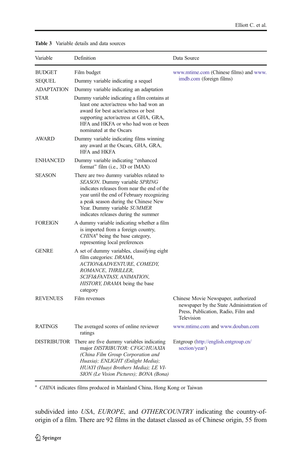| Variable                                                    | Definition                                                                                                                                                                                                                                                                            | Data Source                                                                                                                          |
|-------------------------------------------------------------|---------------------------------------------------------------------------------------------------------------------------------------------------------------------------------------------------------------------------------------------------------------------------------------|--------------------------------------------------------------------------------------------------------------------------------------|
| <b>BUDGET</b><br>SEQUEL<br><b>ADAPTATION</b><br><b>STAR</b> | Film budget<br>Dummy variable indicating a sequel<br>Dummy variable indicating an adaptation<br>Dummy variable indicating a film contains at<br>least one actor/actress who had won an                                                                                                | www.mtime.com (Chinese films) and www.<br>imdb.com (foreign films)                                                                   |
|                                                             | award for best actor/actress or best<br>supporting actor/actress at GHA, GRA,<br>HFA and HKFA or who had won or been<br>nominated at the Oscars                                                                                                                                       |                                                                                                                                      |
| <b>AWARD</b>                                                | Dummy variable indicating films winning<br>any award at the Oscars, GHA, GRA,<br>HFA and HKFA                                                                                                                                                                                         |                                                                                                                                      |
| <b>ENHANCED</b>                                             | Dummy variable indicating "enhanced<br>format" film (i.e., 3D or IMAX)                                                                                                                                                                                                                |                                                                                                                                      |
| <b>SEASON</b>                                               | There are two dummy variables related to<br>SEASON. Dummy variable SPRING<br>indicates releases from near the end of the<br>year until the end of February recognizing<br>a peak season during the Chinese New<br>Year. Dummy variable SUMMER<br>indicates releases during the summer |                                                                                                                                      |
| <b>FOREIGN</b>                                              | A dummy variable indicating whether a film<br>is imported from a foreign country,<br>CHINA <sup>a</sup> being the base category,<br>representing local preferences                                                                                                                    |                                                                                                                                      |
| <b>GENRE</b>                                                | A set of dummy variables, classifying eight<br>film categories: <i>DRAMA</i> ,<br>ACTION&ADVENTURE, COMEDY,<br>ROMANCE, THRILLER,<br>SCIFI&FANTASY, ANIMATION,<br>HISTORY, DRAMA being the base<br>category                                                                           |                                                                                                                                      |
| <b>REVENUES</b>                                             | Film revenues                                                                                                                                                                                                                                                                         | Chinese Movie Newspaper, authorized<br>newspaper by the State Administration of<br>Press, Publication, Radio, Film and<br>Television |
| <b>RATINGS</b>                                              | The averaged scores of online reviewer<br>ratings                                                                                                                                                                                                                                     | www.mtime.com and www.douban.com                                                                                                     |
| DISTRIBUTOR                                                 | There are five dummy variables indicating<br>major DISTRIBUTOR: CFGC/HUAXIA<br>(China Film Group Corporation and<br>Huaxia); ENLIGHT (Enlight Media);<br>HUAYI (Huayi Brothers Media); LE VI-<br>SION (Le Vision Pictures); BONA (Bona)                                               | Entgroup (http://english.entgroup.cn/<br>section/year/)                                                                              |

### <span id="page-14-0"></span>Table 3 Variable details and data sources

<sup>a</sup> CHINA indicates films produced in Mainland China, Hong Kong or Taiwan

subdivided into USA, EUROPE, and OTHERCOUNTRY indicating the country-oforigin of a film. There are 92 films in the dataset classed as of Chinese origin, 55 from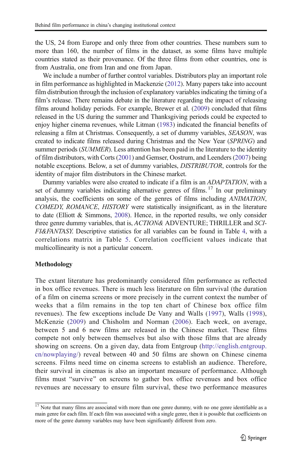the US, 24 from Europe and only three from other countries. These numbers sum to more than 160, the number of films in the dataset, as some films have multiple countries stated as their provenance. Of the three films from other countries, one is from Australia, one from Iran and one from Japan.

We include a number of further control variables. Distributors play an important role in film performance as highlighted in Mackenzie [\(2012\)](#page-31-0). Many papers take into account film distribution through the inclusion of explanatory variables indicating the timing of a film's release. There remains debate in the literature regarding the impact of releasing films around holiday periods. For example, Brewer et al. [\(2009\)](#page-30-0) concluded that films released in the US during the summer and Thanksgiving periods could be expected to enjoy higher cinema revenues, while Litman ([1983](#page-32-0)) indicated the financial benefits of releasing a film at Christmas. Consequently, a set of dummy variables, SEASON, was created to indicate films released during Christmas and the New Year (SPRING) and summer periods (SUMMER). Less attention has been paid in the literature to the identity of film distributors, with Corts [\(2001\)](#page-31-0) and Gemser, Oostrum, and Leenders [\(2007\)](#page-31-0) being notable exceptions. Below, a set of dummy variables, DISTRIBUTOR, controls for the identity of major film distributors in the Chinese market.

Dummy variables were also created to indicate if a film is an ADAPTATION, with a set of dummy variables indicating alternative genres of films.  $17$  In our preliminary analysis, the coefficients on some of the genres of films including ANIMATION, COMEDY, ROMANCE, HISTORY were statistically insignificant, as in the literature to date (Elliott & Simmons, [2008](#page-31-0)). Hence, in the reported results, we only consider three genre dummy variables, that is, ACTION& ADVENTURE; THRILLER and SCI-FI&FANTASY. Descriptive statistics for all variables can be found in Table [4](#page-16-0), with a correlations matrix in Table [5.](#page-18-0) Correlation coefficient values indicate that multicollinearity is not a particular concern.

## Methodology

The extant literature has predominantly considered film performance as reflected in box office revenues. There is much less literature on film survival (the duration of a film on cinema screens or more precisely in the current context the number of weeks that a film remains in the top ten chart of Chinese box office film revenues). The few exceptions include De Vany and Walls ([1997\)](#page-31-0), Walls [\(1998\)](#page-32-0), McKenzie [\(2009\)](#page-32-0) and Chisholm and Norman [\(2006\)](#page-30-0). Each week, on average, between 5 and 6 new films are released in the Chinese market. These films compete not only between themselves but also with those films that are already showing on screens. On a given day, data from Entgroup ([http://english.entgroup.](http://english.entgroup.cn/nowplaying/) [cn/nowplaying/](http://english.entgroup.cn/nowplaying/)) reveal between 40 and 50 films are shown on Chinese cinema screens. Films need time on cinema screens to establish an audience. Therefore, their survival in cinemas is also an important measure of performance. Although films must "survive" on screens to gather box office revenues and box office revenues are necessary to ensure film survival, these two performance measures

 $17$  Note that many films are associated with more than one genre dummy, with no one genre identifiable as a main genre for each film. If each film was associated with a single genre, then it is possible that coefficients on more of the genre dummy variables may have been significantly different from zero.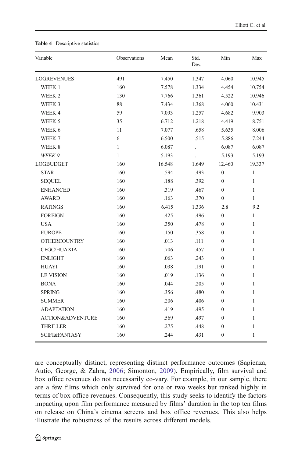| Variable                    | Observations | Mean   | Std.<br>Dev. | Min              | Max          |
|-----------------------------|--------------|--------|--------------|------------------|--------------|
| <b>LOGREVENUES</b>          | 491          | 7.450  | 1.347        | 4.060            | 10.945       |
| WEEK 1                      | 160          | 7.578  | 1.334        | 4.454            | 10.754       |
| WEEK 2                      | 130          | 7.766  | 1.361        | 4.522            | 10.946       |
| WEEK 3                      | 88           | 7.434  | 1.368        | 4.060            | 10.431       |
| WEEK 4                      | 59           | 7.093  | 1.257        | 4.682            | 9.903        |
| WEEK 5                      | 35           | 6.712  | 1.218        | 4.419            | 8.751        |
| WEEK 6                      | 11           | 7.077  | .658         | 5.635            | 8.006        |
| WEEK 7                      | 6            | 6.500  | .515         | 5.886            | 7.244        |
| WEEK 8                      | $\mathbf{1}$ | 6.087  |              | 6.087            | 6.087        |
| WEEK 9                      | $\mathbf{1}$ | 5.193  |              | 5.193            | 5.193        |
| <b>LOGBUDGET</b>            | 160          | 16.548 | 1.649        | 12.460           | 19.337       |
| <b>STAR</b>                 | 160          | .594   | .493         | $\boldsymbol{0}$ | $\mathbf{1}$ |
| <b>SEQUEL</b>               | 160          | .188   | .392         | $\mathbf{0}$     | $\mathbf{1}$ |
| <b>ENHANCED</b>             | 160          | .319   | .467         | $\boldsymbol{0}$ | $\mathbf{1}$ |
| <b>AWARD</b>                | 160          | .163   | .370         | $\boldsymbol{0}$ | $\mathbf{1}$ |
| <b>RATINGS</b>              | 160          | 6.415  | 1.336        | 2.8              | 9.2          |
| <b>FOREIGN</b>              | 160          | .425   | .496         | $\boldsymbol{0}$ | $\mathbf{1}$ |
| <b>USA</b>                  | 160          | .350   | .478         | $\boldsymbol{0}$ | 1            |
| <b>EUROPE</b>               | 160          | .150   | .358         | $\overline{0}$   | $\mathbf{1}$ |
| <b>OTHERCOUNTRY</b>         | 160          | .013   | .111         | $\overline{0}$   | $\mathbf{1}$ |
| CFGC/HUAXIA                 | 160          | .706   | .457         | 0                | 1            |
| <b>ENLIGHT</b>              | 160          | .063   | .243         | 0                | $\mathbf{1}$ |
| <b>HUAYI</b>                | 160          | .038   | .191         | $\boldsymbol{0}$ | $\mathbf{1}$ |
| <b>LE VISION</b>            | 160          | .019   | .136         | $\boldsymbol{0}$ | $\mathbf{1}$ |
| <b>BONA</b>                 | 160          | .044   | .205         | 0                | $\mathbf{1}$ |
| <b>SPRING</b>               | 160          | .356   | .480         | $\boldsymbol{0}$ | $\mathbf{1}$ |
| <b>SUMMER</b>               | 160          | .206   | .406         | $\overline{0}$   | $\mathbf{1}$ |
| <b>ADAPTATION</b>           | 160          | .419   | .495         | 0                | 1            |
| <b>ACTION&amp;ADVENTURE</b> | 160          | .569   | .497         | $\boldsymbol{0}$ | $\mathbf{1}$ |
| <b>THRILLER</b>             | 160          | .275   | .448         | $\boldsymbol{0}$ | $\mathbf{1}$ |
| <b>SCIFI&amp;FANTASY</b>    | 160          | .244   | .431         | $\boldsymbol{0}$ | $\mathbf{1}$ |

#### <span id="page-16-0"></span>Table 4 Descriptive statistics

are conceptually distinct, representing distinct performance outcomes (Sapienza, Autio, George, & Zahra, [2006](#page-32-0); Simonton, [2009\)](#page-32-0). Empirically, film survival and box office revenues do not necessarily co-vary. For example, in our sample, there are a few films which only survived for one or two weeks but ranked highly in terms of box office revenues. Consequently, this study seeks to identify the factors impacting upon film performance measured by films' duration in the top ten films on release on China's cinema screens and box office revenues. This also helps illustrate the robustness of the results across different models.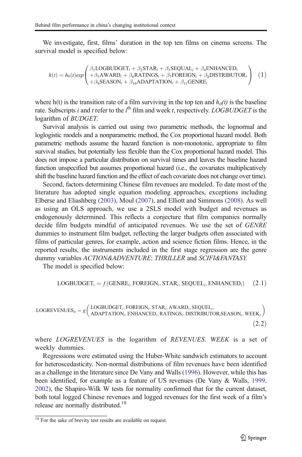We investigate, first, films' duration in the top ten films on cinema screens. The survival model is specified below:

$$
h(t) = h_0(t) exp\begin{pmatrix} \beta_1 \text{LOGBUDGET}_i + \beta_2 \text{STAR}_i + \beta_3 \text{SEQUAL}_i + \beta_4 \text{ENHANCED}_i \\ + \beta_5 \text{AWARD}_i + \beta_6 \text{RATINGS}_i + \beta_7 \text{FOREIGN}_i + \beta_8 \text{DISTRIBUTOR}_i \\ + \beta_9 \text{SEASON}_i + \beta_{10} \text{ADAPTATION}_i + \beta_{11} \text{GENRE}_i \end{pmatrix} (1)
$$

where h(t) is the transition rate of a film surviving in the top ten and  $h<sub>0</sub>(t)$  is the baseline rate. Subscripts *i* and *t* refer to the  $i^{\text{th}}$  film and week *t*, respectively. LOGBUDGET is the logarithm of BUDGET.

Survival analysis is carried out using two parametric methods, the lognormal and loglogistic models and a nonparametric method, the Cox proportional hazard model. Both parametric methods assume the hazard function is non-monotonic, appropriate to film survival studies, but potentially less flexible than the Cox proportional hazard model. This does not impose a particular distribution on survival times and leaves the baseline hazard function unspecified but assumes proportional hazard (i.e., the covariates multiplicatively shift the baseline hazard function and the effect of each covariate does not change over time).

Second, factors determining Chinese film revenues are modeled. To date most of the literature has adopted single equation modeling approaches, exceptions including Elberse and Eliashberg [\(2003\)](#page-31-0), Moul ([2007](#page-32-0)), and Elliott and Simmons ([2008](#page-31-0)). As well as using an OLS approach, we use a 2SLS model with budget and revenues as endogenously determined. This reflects a conjecture that film companies normally decide film budgets mindful of anticipated revenues. We use the set of GENRE dummies to instrument film budget, reflecting the larger budgets often associated with films of particular genres, for example, action and science fiction films. Hence, in the reported results, the instruments included in the first stage regression are the genre dummy variables ACTION&ADVENTURE; THRILLER and SCIFI&FANTASY.

The model is specified below:

$$
LOGBUDGET_i = f(GENERE_i, FOREIGN_i, STAR_i, SEQUEL_i, ENHANCED_i) \quad (2.1)
$$

 $\textsc{LOGREVENUES}_{it} = g \Big( \frac{\textsc{LOGBUDGET}}{\textsc{ADAPTATION}} \textsc{.ENHANCED}. \textsc{RATINGS}. \textsc{DISTRIBUTO} \Big)$  $\mathsf{ADAPTATION}_i, \mathsf{ENHANCED}_i, \mathsf{RATINGS}_i, \mathsf{DISTRIBUTOR}_i\mathsf{SEASON}_i, \mathsf{WEEK}_i$  $\big/$  LOGBUDGET<sub>i</sub>, FOREIGN<sub>i</sub>, STAR<sub>i</sub>, AWARD<sub>i</sub>, SEQUEL<sub>i</sub>,  $(2.2)$ 

where LOGREVENUES is the logarithm of REVENUES. WEEK is a set of weekly dummies.

Regressions were estimated using the Huber-White sandwich estimators to account for heteroscedasticity. Non-normal distributions of film revenues have been identified as a challenge in the literature since De Vany and Walls [\(1996\)](#page-31-0). However, while this has been identified, for example as a feature of US revenues (De Vany & Walls, [1999,](#page-31-0) [2002\)](#page-31-0), the Shapiro-Wilk W tests for normality confirmed that for the current dataset, both total logged Chinese revenues and logged revenues for the first week of a film's release are normally distributed.<sup>18</sup>

<sup>&</sup>lt;sup>18</sup> For the sake of brevity test results are available on request.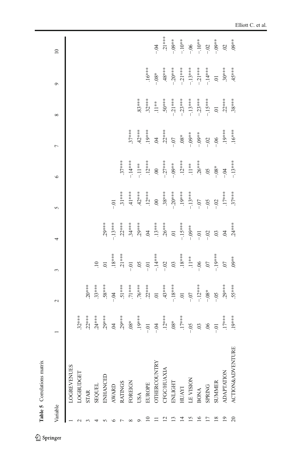<span id="page-18-0"></span>

|                 | Table 5 Correlations matrix |                   |                                          |                                            |                                                     |                                            |                                                                                          |                          |              |                                                                      |                                                                            |
|-----------------|-----------------------------|-------------------|------------------------------------------|--------------------------------------------|-----------------------------------------------------|--------------------------------------------|------------------------------------------------------------------------------------------|--------------------------|--------------|----------------------------------------------------------------------|----------------------------------------------------------------------------|
| Variable        |                             |                   | $\sim$                                   | 3                                          | 4                                                   | $\sigma$                                   | $\circ$                                                                                  | $\overline{a}$           | ${}^{\circ}$ | $\circ$                                                              | $\overline{10}$                                                            |
|                 | <b>LOGREVENUES</b>          |                   |                                          |                                            |                                                     |                                            |                                                                                          |                          |              |                                                                      |                                                                            |
|                 | LOGBUDGET                   | $32***$           |                                          |                                            |                                                     |                                            |                                                                                          |                          |              |                                                                      |                                                                            |
|                 | <b>STAR</b>                 | $.22***$          | $.20***$                                 |                                            |                                                     |                                            |                                                                                          |                          |              |                                                                      |                                                                            |
|                 | <b>SEQUEL</b>               | $24***$           | $.33***$                                 | $\overline{10}$                            |                                                     |                                            |                                                                                          |                          |              |                                                                      |                                                                            |
|                 | ENHANCED                    | $.29***$          | .58***                                   | $\Xi$                                      | $29***$                                             |                                            |                                                                                          |                          |              |                                                                      |                                                                            |
|                 | <b>AWARD</b>                | $\ddot{a}$        | $-0.4$                                   | $.18***$                                   | $-13***$                                            |                                            |                                                                                          |                          |              |                                                                      |                                                                            |
|                 | <b>RATINGS</b>              | $.29***$          |                                          | $21***$                                    |                                                     | $.31***$                                   | $.37***$                                                                                 |                          |              |                                                                      |                                                                            |
|                 | FOREIGN                     | $^{*80}$          |                                          | $-0.01$                                    | $22***$<br>$34***$<br>$34***$<br>$29***$<br>$34***$ |                                            | $-14***$                                                                                 | $.37***$                 |              |                                                                      |                                                                            |
|                 | USA                         | $.19***$          |                                          |                                            |                                                     | $41***$<br>$42***$                         | $-.11***$                                                                                | $.42***$                 | $.83***$     |                                                                      |                                                                            |
|                 | <b>EUROPE</b>               | $-0.0$            | $51***$<br>$71***$<br>$76***$<br>$22***$ | .05<br>--.01<br>--.14***<br>--.02<br>--.03 |                                                     | $.12***$                                   | $.12***$                                                                                 | $.19***$                 |              | $.16***$                                                             |                                                                            |
|                 | <b>OTHERCOUNTRY</b>         | $-0.4$            |                                          |                                            |                                                     | 00                                         |                                                                                          | $^{0.4}$                 |              | $-0.8*$                                                              | $\dot{B}$                                                                  |
| $\mathbf{c}$    | CFGC/HUAXIA                 | $.12***$          | $-18***$<br>$-18***$<br>01<br>-07        |                                            | $.13***$<br>$.26***$<br>01                          | $-38***$<br>$-20***$<br>$19***$<br>$19***$ |                                                                                          | $.22***$<br>****<br>-.07 |              | $.48***$                                                             |                                                                            |
| ≌               | ENLIGHT                     | $.08**$<br>.17*** |                                          |                                            |                                                     |                                            |                                                                                          |                          |              |                                                                      |                                                                            |
| 4               | HUAYI                       |                   |                                          | $.18***$<br>$.11***$                       | $-15***$                                            |                                            |                                                                                          |                          |              |                                                                      |                                                                            |
| 51              | <b>LE VISION</b>            | $-0.05$           |                                          |                                            | $-0.09**$                                           |                                            |                                                                                          | $-0.08*$                 |              |                                                                      |                                                                            |
| $\overline{16}$ | <b>BONA</b>                 | $\rm G$           | $-12***$                                 | $-0.0$                                     | $-5$                                                | $-0.07$                                    | $-27***$<br>$-09***$<br>$\cdot 12***$<br>$\cdot 11***$<br>$\cdot 16***$<br>$\cdot 26***$ | $-0.0$                   |              | $-20***$<br>$-21***$<br>$-13***$<br>$-13***$<br>$-21***$<br>$-14***$ | $.21***$<br>$-0.03***$<br>$-1.0***$<br>$-1.0***$<br>$-1.0***$<br>$-1.0***$ |
|                 | <b>SPRING</b>               | $\ddot{\circ}$    | $-0.8$                                   | $\overline{C}$                             | $-0.02$                                             | $-0.5$                                     |                                                                                          | $-02$                    |              |                                                                      |                                                                            |
| $\frac{8}{2}$   | <b>SUMMER</b>               | $-0.$             | $-0.5$                                   | $-19***$                                   | $\ddot{\circ}$                                      | $-0.2$                                     | $-08*$                                                                                   | $-0.06$                  |              |                                                                      |                                                                            |
| $\overline{0}$  | <b>ADAPTATION</b>           | $.17***$          | $.29***$                                 | $\overline{C}$                             | $\widetilde{A}$                                     | $17***$                                    | $-6$                                                                                     | $19*$                    | $22***$      | $30***$                                                              | $\ddot{\circ}$                                                             |
| $\Omega$        | <b>ACTION&amp;ADVENTURE</b> | $.19***$          | .55***                                   | $.09**$                                    | $.24***$                                            | $.37***$                                   | $-.13***$                                                                                | $.16***$                 | $.38***$     | $.45***$                                                             | $.09**$                                                                    |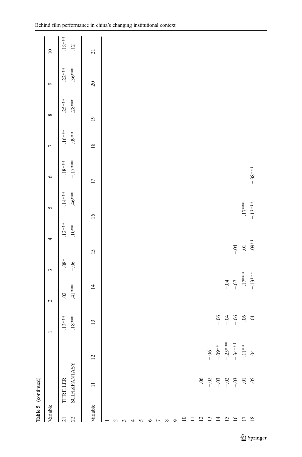|                                         | Table 5 (continued)                  |                |                       |                            |                 |                     |                      |                       |                      |                      |                      |                        |
|-----------------------------------------|--------------------------------------|----------------|-----------------------|----------------------------|-----------------|---------------------|----------------------|-----------------------|----------------------|----------------------|----------------------|------------------------|
| Variable                                |                                      |                |                       | $\sim$                     | 3               | 4                   | $\sigma$             | $\circ$               | $\overline{ }$       | ${}^{\circ}$         | $\circ$              | $\overline{10}$        |
| $\overline{2}$<br>$\overline{21}$       | <b>SCIFI&amp;FANTASY</b><br>THRILLER |                | $.18***$<br>$-.13***$ | $.41***$<br>$\ddot{\circ}$ | $-0.8$<br>$-06$ | $.12***$<br>$.10**$ | $.46***$<br>$-14***$ | $-17***$<br>$-.18***$ | $-16***$<br>$.09***$ | $.28***$<br>$.25***$ | $.36***$<br>$.22***$ | $.18***$<br>$\ddot{5}$ |
| Variable                                | $\equiv$                             | $\overline{c}$ | $\overline{13}$       | $\overline{4}$             | 15              | 16                  |                      | $\overline{17}$       | 18                   | $\overline{19}$      | 20                   | $\overline{21}$        |
|                                         |                                      |                |                       |                            |                 |                     |                      |                       |                      |                      |                      |                        |
| $\mathbf 2$                             |                                      |                |                       |                            |                 |                     |                      |                       |                      |                      |                      |                        |
|                                         |                                      |                |                       |                            |                 |                     |                      |                       |                      |                      |                      |                        |
|                                         |                                      |                |                       |                            |                 |                     |                      |                       |                      |                      |                      |                        |
|                                         |                                      |                |                       |                            |                 |                     |                      |                       |                      |                      |                      |                        |
| ٥                                       |                                      |                |                       |                            |                 |                     |                      |                       |                      |                      |                      |                        |
|                                         |                                      |                |                       |                            |                 |                     |                      |                       |                      |                      |                      |                        |
| ${}^{\infty}$                           |                                      |                |                       |                            |                 |                     |                      |                       |                      |                      |                      |                        |
| $\circ$                                 |                                      |                |                       |                            |                 |                     |                      |                       |                      |                      |                      |                        |
| $\overline{10}$                         |                                      |                |                       |                            |                 |                     |                      |                       |                      |                      |                      |                        |
| $\Box$                                  |                                      |                |                       |                            |                 |                     |                      |                       |                      |                      |                      |                        |
| $\frac{2}{13}$                          | 90.                                  |                |                       |                            |                 |                     |                      |                       |                      |                      |                      |                        |
|                                         | $-02$                                | $-06$          |                       |                            |                 |                     |                      |                       |                      |                      |                      |                        |
| $\overline{4}$                          | $-03$                                | $-.09**$       | $-06$                 |                            |                 |                     |                      |                       |                      |                      |                      |                        |
| $\begin{array}{c} 15 \\ 16 \end{array}$ | $-02$                                | $-.25***$      | $-0$                  | $-0.4$                     |                 |                     |                      |                       |                      |                      |                      |                        |
|                                         | $-03$                                | $-34***$       | $-0.06$               | $-0.7$                     | $-9$            |                     |                      |                       |                      |                      |                      |                        |
|                                         | $\Xi$                                | $-11***$       | $\ddot{\theta}$       | $.17***$                   | $\overline{0}$  |                     | $.17***$             |                       |                      |                      |                      |                        |
| $\frac{8}{18}$                          | $\overline{0}$                       | $\ddot{q}$     | $\Xi$                 | $-.13***$                  | $.09**$         |                     | $-13***$             | $-38***$              |                      |                      |                      |                        |
|                                         |                                      |                |                       |                            |                 |                     |                      |                       |                      |                      |                      |                        |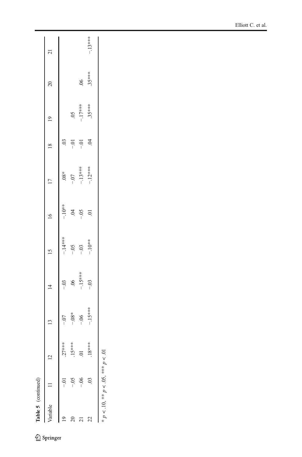| $* p < .10, ** p < .05, ** p < .01$<br>22<br>20<br>$\overline{19}$<br>$\overline{c}$ | $\overline{c}$<br>$-0.5$<br>$-0.6$<br>$-0.01$ | $.27***$<br>$.15***$<br>$.18***$<br>$\ddot{\circ}$ | $-15***$<br>$-0.8*$<br>$-06$<br>$-0$ | $-15***$<br>$\ddot{0}$<br>$-0.03$<br>$-0.03$ | $-14***$<br>$-10**$<br>$-0.5$<br>$-0.03$ | $-10^{**}$<br>Ŕ.<br>$-0.5$<br>5. | $-.12***$<br>$-.13***$<br>$.08*$<br>$-0$ | Ś.<br>$\ddot{\mathrm{c}}$<br>$-0$ .<br>$-0$ | $35***$<br>$-17***$<br>$\widetilde{\mathrm{SO}}$ | $.35***$<br>$\ddot{\theta}$ |           |
|--------------------------------------------------------------------------------------|-----------------------------------------------|----------------------------------------------------|--------------------------------------|----------------------------------------------|------------------------------------------|----------------------------------|------------------------------------------|---------------------------------------------|--------------------------------------------------|-----------------------------|-----------|
|                                                                                      |                                               |                                                    |                                      |                                              |                                          |                                  |                                          |                                             |                                                  |                             |           |
|                                                                                      |                                               |                                                    |                                      |                                              |                                          |                                  |                                          |                                             |                                                  |                             | $-.13***$ |
|                                                                                      |                                               |                                                    |                                      |                                              |                                          |                                  |                                          |                                             |                                                  |                             |           |
|                                                                                      |                                               |                                                    |                                      |                                              |                                          |                                  |                                          |                                             |                                                  |                             |           |
|                                                                                      |                                               |                                                    |                                      |                                              |                                          |                                  |                                          |                                             |                                                  |                             |           |
|                                                                                      |                                               |                                                    |                                      |                                              |                                          |                                  |                                          |                                             |                                                  |                             |           |
|                                                                                      |                                               |                                                    |                                      |                                              |                                          |                                  |                                          |                                             |                                                  |                             |           |
|                                                                                      |                                               |                                                    |                                      |                                              |                                          |                                  |                                          |                                             |                                                  |                             |           |
|                                                                                      |                                               |                                                    |                                      |                                              |                                          |                                  |                                          |                                             |                                                  |                             |           |
|                                                                                      |                                               |                                                    |                                      |                                              |                                          |                                  |                                          |                                             |                                                  |                             |           |
|                                                                                      |                                               |                                                    |                                      |                                              |                                          |                                  |                                          |                                             |                                                  |                             |           |
|                                                                                      |                                               |                                                    |                                      |                                              |                                          |                                  |                                          |                                             |                                                  |                             |           |
|                                                                                      |                                               |                                                    |                                      |                                              |                                          |                                  |                                          |                                             |                                                  |                             |           |
|                                                                                      |                                               |                                                    |                                      |                                              |                                          |                                  |                                          |                                             |                                                  |                             |           |
|                                                                                      |                                               |                                                    |                                      |                                              |                                          |                                  |                                          |                                             |                                                  |                             |           |
|                                                                                      |                                               |                                                    |                                      |                                              |                                          |                                  |                                          |                                             |                                                  |                             |           |
|                                                                                      |                                               |                                                    |                                      |                                              |                                          |                                  |                                          |                                             |                                                  |                             |           |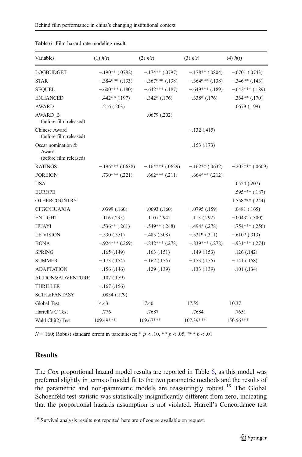| Variables                                             | $(1)$ $h(t)$       | $(2)$ $h(t)$      | $(3)$ $h(t)$        | $(4)$ $h(t)$       |
|-------------------------------------------------------|--------------------|-------------------|---------------------|--------------------|
| LOGBUDGET                                             | $-.190**(.0782)$   | $-.174**(.0797)$  | $-.178**(.0804)$    | $-.0701(.0743)$    |
| <b>STAR</b>                                           | $-.384***$ (.133)  | $-.367***$ (.138) | $-.364***$ (.138)   | $-.346**(.143)$    |
| <b>SEQUEL</b>                                         | $-.600***$ (.180)  | $-.642***(.187)$  | $-649***$ (.189)    | $-.642***(.189)$   |
| <b>ENHANCED</b>                                       | $-.442**(.197)$    | $-.342*(.176)$    | $-.338*(.176)$      | $-.364**(.170)$    |
| <b>AWARD</b>                                          | .216(.203)         |                   |                     | .0679(.199)        |
| AWARD B<br>(before film released)                     |                    | .0679(.202)       |                     |                    |
| Chinese Award<br>(before film released)               |                    |                   | $-.132(.415)$       |                    |
| Oscar nomination &<br>Award<br>(before film released) |                    |                   | .153(.173)          |                    |
| <b>RATINGS</b>                                        | $-196***$ (.0638)  | $-164***$ (.0629) | $-162**$ (.0632)    | $-.205***$ (.0609) |
| <b>FOREIGN</b>                                        | $.730***$ $(.221)$ | $.662***$ (.211)  | $.664***$ $(.212)$  |                    |
| <b>USA</b>                                            |                    |                   |                     | .0524(.207)        |
| <b>EUROPE</b>                                         |                    |                   |                     | $.595***$ $(.187)$ |
| <b>OTHERCOUNTRY</b>                                   |                    |                   |                     | $1.558***$ (.244)  |
| <b>CFGC/HUAXIA</b>                                    | $-.0399(.160)$     | $-.0693(.160)$    | $-0.0795$ (.159)    | $-.0481(.165)$     |
| <b>ENLIGHT</b>                                        | .116(.295)         | .110(.294)        | .113(.292)          | $-.00432(.300)$    |
| <b>HUAYI</b>                                          | $-.536**(.261)$    | $-.549**(.248)$   | $-494*(0.278)$      | $-.754***$ (.256)  |
| <b>LE VISION</b>                                      | $-.530(.351)$      | $-.485(.308)$     | $-.531*(.311)$      | $-.610*(.313)$     |
| <b>BONA</b>                                           | $-.924***$ (.269)  | $-.842***(.278)$  | $-.839***$ $(.278)$ | $-0.931***$ (.274) |
| <b>SPRING</b>                                         | .165(.149)         | .163(.151)        | .149(.153)          | .126(.142)         |
| <b>SUMMER</b>                                         | $-173(0.154)$      | $-.162(.155)$     | $-.173(.155)$       | $-.141(.158)$      |
| <b>ADAPTATION</b>                                     | $-156$ (.146)      | $-.129(.139)$     | $-.133(.139)$       | $-.101(.134)$      |
| <b>ACTION&amp;ADVENTURE</b>                           | .107(.159)         |                   |                     |                    |
| THRILLER                                              | $-167(0.156)$      |                   |                     |                    |
| <b>SCIFI&amp;FANTASY</b>                              | .0834(.179)        |                   |                     |                    |
| Global Test                                           | 14.43              | 17.40             | 17.55               | 10.37              |
| Harrell's C Test                                      | .776               | .7687             | .7684               | .7651              |
| Wald Chi(2) Test                                      | 109.49***          | 109.67***         | 107.39***           | 150.56***          |

<span id="page-21-0"></span>Table 6 Film hazard rate modeling result

 $N = 160$ ; Robust standard errors in parentheses; \*  $p < .10$ , \*\*  $p < .05$ , \*\*\*  $p < .01$ 

## **Results**

The Cox proportional hazard model results are reported in Table 6, as this model was preferred slightly in terms of model fit to the two parametric methods and the results of the parametric and non-parametric models are reassuringly robust.<sup>19</sup> The Global Schoenfeld test statistic was statistically insignificantly different from zero, indicating that the proportional hazards assumption is not violated. Harrell's Concordance test

 $19$  Survival analysis results not reported here are of course available on request.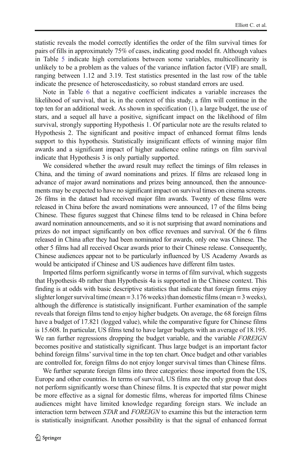statistic reveals the model correctly identifies the order of the film survival times for pairs of fills in approximately 75% of cases, indicating good model fit. Although values in Table [5](#page-18-0) indicate high correlations between some variables, multicollinearity is unlikely to be a problem as the values of the variance inflation factor (VIF) are small, ranging between 1.12 and 3.19. Test statistics presented in the last row of the table indicate the presence of heteroscedasticity, so robust standard errors are used.

Note in Table [6](#page-21-0) that a negative coefficient indicates a variable increases the likelihood of survival, that is, in the context of this study, a film will continue in the top ten for an additional week. As shown in specification (1), a large budget, the use of stars, and a sequel all have a positive, significant impact on the likelihood of film survival, strongly supporting Hypothesis 1. Of particular note are the results related to Hypothesis 2. The significant and positive impact of enhanced format films lends support to this hypothesis. Statistically insignificant effects of winning major film awards and a significant impact of higher audience online ratings on film survival indicate that Hypothesis 3 is only partially supported.

We considered whether the award result may reflect the timings of film releases in China, and the timing of award nominations and prizes. If films are released long in advance of major award nominations and prizes being announced, then the announcements may be expected to have no significant impact on survival times on cinema screens. 26 films in the dataset had received major film awards. Twenty of these films were released in China before the award nominations were announced, 17 of the films being Chinese. These figures suggest that Chinese films tend to be released in China before award nomination announcements, and so it is not surprising that award nominations and prizes do not impact significantly on box office revenues and survival. Of the 6 films released in China after they had been nominated for awards, only one was Chinese. The other 5 films had all received Oscar awards prior to their Chinese release. Consequently, Chinese audiences appear not to be particularly influenced by US Academy Awards as would be anticipated if Chinese and US audiences have different film tastes.

Imported films perform significantly worse in terms of film survival, which suggests that Hypothesis 4b rather than Hypothesis 4a is supported in the Chinese context. This finding is at odds with basic descriptive statistics that indicate that foreign firms enjoy slighter longer survival time (mean = 3.176 weeks) than domestic films (mean = 3 weeks), although the difference is statistically insignificant. Further examination of the sample reveals that foreign films tend to enjoy higher budgets. On average, the 68 foreign films have a budget of 17.821 (logged value), while the comparative figure for Chinese films is 15.608. In particular, US films tend to have larger budgets with an average of 18.195. We ran further regressions dropping the budget variable, and the variable FOREIGN becomes positive and statistically significant. Thus large budget is an important factor behind foreign films'survival time in the top ten chart. Once budget and other variables are controlled for, foreign films do not enjoy longer survival times than Chinese films.

We further separate foreign films into three categories: those imported from the US, Europe and other countries. In terms of survival, US films are the only group that does not perform significantly worse than Chinese films. It is expected that star power might be more effective as a signal for domestic films, whereas for imported films Chinese audiences might have limited knowledge regarding foreign stars. We include an interaction term between *STAR* and *FOREIGN* to examine this but the interaction term is statistically insignificant. Another possibility is that the signal of enhanced format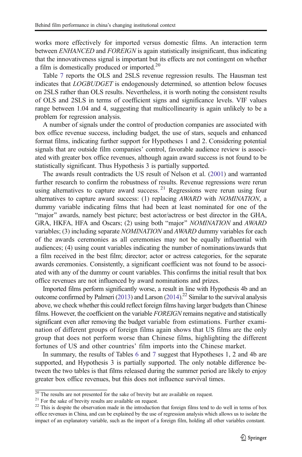works more effectively for imported versus domestic films. An interaction term between ENHANCED and FOREIGN is again statistically insignificant, thus indicating that the innovativeness signal is important but its effects are not contingent on whether a film is domestically produced or imported.<sup>20</sup>

Table [7](#page-14-0) reports the OLS and 2SLS revenue regression results. The Hausman test indicates that LOGBUDGET is endogenously determined, so attention below focuses on 2SLS rather than OLS results. Nevertheless, it is worth noting the consistent results of OLS and 2SLS in terms of coefficient signs and significance levels. VIF values range between 1.04 and 4, suggesting that multicollinearity is again unlikely to be a problem for regression analysis.

A number of signals under the control of production companies are associated with box office revenue success, including budget, the use of stars, sequels and enhanced format films, indicating further support for Hypotheses 1 and 2. Considering potential signals that are outside film companies' control, favorable audience review is associated with greater box office revenues, although again award success is not found to be statistically significant. Thus Hypothesis 3 is partially supported.

The awards result contradicts the US result of Nelson et al. [\(2001\)](#page-32-0) and warranted further research to confirm the robustness of results. Revenue regressions were rerun using alternatives to capture award success.<sup>21</sup> Regressions were rerun using four alternatives to capture award success: (1) replacing AWARD with NOMINATION, a dummy variable indicating films that had been at least nominated for one of the "major" awards, namely best picture; best actor/actress or best director in the GHA, GRA, HKFA, HFA and Oscars; (2) using both "major" NOMINATION and AWARD variables; (3) including separate NOMINATION and AWARD dummy variables for each of the awards ceremonies as all ceremonies may not be equally influential with audiences; (4) using count variables indicating the number of nominations/awards that a film received in the best film; director; actor or actress categories, for the separate awards ceremonies. Consistently, a significant coefficient was not found to be associated with any of the dummy or count variables. This confirms the initial result that box office revenues are not influenced by award nominations and prizes.

Imported films perform significantly worse, a result in line with Hypothesis 4b and an outcome confirmed by Palmeri [\(2013](#page-32-0)) and Larson [\(2014\)](#page-31-0).<sup>22</sup> Similar to the survival analysis above, we check whether this could reflect foreign films having larger budgets than Chinese films. However, the coefficient on the variable FOREIGN remains negative and statistically significant even after removing the budget variable from estimations. Further examination of different groups of foreign films again shows that US films are the only group that does not perform worse than Chinese films, highlighting the different fortunes of US and other countries' film imports into the Chinese market.

In summary, the results of Tables [6](#page-21-0) and [7](#page-24-0) suggest that Hypotheses 1, 2 and 4b are supported, and Hypothesis 3 is partially supported. The only notable difference between the two tables is that films released during the summer period are likely to enjoy greater box office revenues, but this does not influence survival times.

The results are not presented for the sake of brevity but are available on request.<br>
<sup>21</sup> For the sake of brevity results are available on request.<br>
<sup>22</sup> This is despite the observation made in the introduction that forei office revenues in China, and can be explained by the use of regression analysis which allows us to isolate the impact of an explanatory variable, such as the import of a foreign film, holding all other variables constant.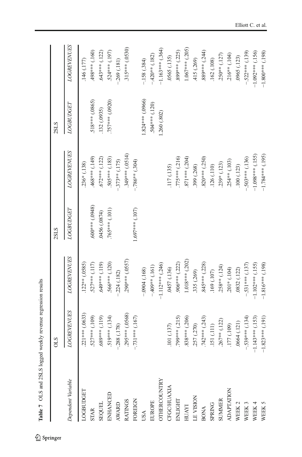<span id="page-24-0"></span>

|                     | <b>OLS</b>         |                    | 2SLS                  |                     | 2SLS             |                    |
|---------------------|--------------------|--------------------|-----------------------|---------------------|------------------|--------------------|
| Dependent Variable  | <b>LOGREVENUES</b> | <b>LOGREVENUES</b> | LOGBUDGET             | <b>LOGREVENUES</b>  | LOGBUDGET        | <b>LOGREVENUES</b> |
| <b>OGBUDGET</b>     | .221 *** (.0633)   | $.122**(.0585)$    |                       | 236* (.138)         |                  | .146(.177)         |
| <b>STAR</b>         | $.527***$ (.109)   | 527*** (.117)      | $(860)$ *** $(0.048)$ | .468*** (.149)      | .518*** (.0865)  | $(001)$ ***86#     |
| <b>SEQUEL</b>       | $(611)$ ***(.119)  | .649*** (.119)     | 0456 (.0874)          | $.672***(.122)$     | 132 (.0935)      | $.643***(.122)$    |
| <b>ENHANCED</b>     | $.519***$ (.134)   | .566*** (.120)     | $.765***(101)$        | $.505***$ (.183)    | .757*** (.0920)  | $.524***$ (.197)   |
| AWARD               | $-288(.178)$       | .224(.182)         |                       | $-373**$ (.175)     |                  | .269(.181)         |
| <b>RATINGS</b>      | $.295***(.0568)$   | .290*** (.0557)    |                       | $.349***$ $(.0514)$ |                  | $.315***(.0530)$   |
| FOREIGN             | $-731***$ (.167)   |                    | 1.697*** (.107)       | $-786**$ (.304)     |                  |                    |
| USA                 |                    | $-0.004(0.168)$    |                       |                     | 1.824*** (.0966) | $-158(.384)$       |
| <b>ELIROPE</b>      |                    | $-409**$ (.161)    |                       |                     | $.504***$ (.120) | $-420**$ (.182)    |
| <b>OTHERCOUNTRY</b> |                    | $-1.112***$ (.246) |                       |                     | 1.260 (.802)     | $-1.163***$ (.364) |
| <b>FGC/HUAXIA</b>   | .101 (.137)        | 0457 (.136)        |                       | 117 (.135)          |                  | .0565 (.135)       |
| ENLIGHT             | (215)              | $.906***$ (.222)   |                       | $.775***(.216)$     |                  | $.899***(.225)$    |
| HUAYI               | 838*** (206)       | $1.018***$ (.202)  |                       | 871*** (.204)       |                  | $1.067***$ (.205)  |
| <b>IN VISION</b>    | .257 (.270)        | 335 (.269)         |                       | 399 (.268)          |                  | 415 (.269)         |
| <b>BONA</b>         | $.742***$ (.243)   | $.845***(.228)$    |                       | $820***$ (.250)     |                  | .889*** (.244)     |
| <b>SPRING</b>       | $.151~(\pm 111)$   | 169 (.107)         |                       | 126 (.110)          |                  | .162(.108)         |
| <b>SUMMER</b>       | $.267***$ (.122)   | $.258**$ (.124)    |                       | $239*$ (.123)       |                  | $.250**$ (.127)    |
| <b>ADAPTATION</b>   | .177 (.109)        | $.201*(.104)$      |                       | $.254**$ (.103)     |                  | $.216**$ (.104)    |
| WEEK 2              | .0664(.121)        | .0832 (.122)       |                       | .100(.123)          |                  | .0965 (.123)       |
| WEEK 3              | $-.539***(.134)$   | $.531***$ (.137)   |                       | $.503***$ (.136)    |                  | $-522***$ (.139)   |
| WEEK 4              | $-1.143***$ (.153) | $-1.102***$ (.155) |                       | $-1.098***$ (.155)  |                  | $-1.092***$ (.156) |
| WEEK 5              | $-1.823***$ (.191) | $-1.816***$ (.198) |                       | $-1.784***$ (.195)  |                  | $-1.800***$ (.198) |

Table 7 OLS and 2SLS logged weekly revenue regression results Table 7 OLS and 2SLS logged weekly revenue regression results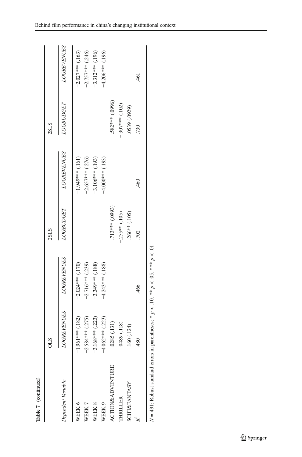| Table 7 (continued)                |                    |                                                           |                 |                    |                   |                    |
|------------------------------------|--------------------|-----------------------------------------------------------|-----------------|--------------------|-------------------|--------------------|
|                                    | <b>OLS</b>         |                                                           | 2SLS            |                    | 2SLS              |                    |
| Dependent Variable                 | <b>LOGREVENUES</b> | <b>LOGREVENUES</b>                                        | LOGBUDGET       | <b>LOGREVENUES</b> | <b>LOGBUDGET</b>  | <b>LOGREVENUES</b> |
| WEEK 6                             | $-1.961***$ (.182) | $-2.024***$ (.170)                                        |                 | $-1.949**$         |                   | $-2.027***$ (.163) |
| WEEK 7                             | $-2.584***$ (.275) | $-2.716***$ (.239)                                        |                 | $-2.657***$ (.276) |                   | $-2.757***$ (.246) |
| WEEK 8                             | $-3.168***$ (.223) | $-3.349***$ (.188)                                        |                 | $-3.106***$ (.193) |                   | $-3.312***$ (.196) |
| WEEK 9                             | $-4.062***$ (.223) | $-4.243***$ (.188)                                        |                 | $-4.000***$ (.193) |                   | $-4.206***$ (.196) |
| <b>ACTION&amp;ADVENTURE</b>        | $-.0285(.131)$     |                                                           | .713*** (.0993) |                    | .582 *** (.0996)  |                    |
| <b>HRILLER</b>                     | 0489 (.118)        |                                                           | $-255**$ (.105) |                    | $-.307***$ (.102) |                    |
| <b>SCIFI&amp;FANTASY</b>           | .160(.124)         |                                                           | .266** (.105)   |                    | 0539 (.0929)      |                    |
|                                    | .480               | .466                                                      | .702            | .460               | .730              | 461                |
| $N = 491$ ; Robust standard errors |                    | in parentheses; * $p < 10$ , ** $p < 0.05$ , *** $p < 01$ |                 |                    |                   |                    |

 $p < 10, **$  $p < 0.05$ , \*\*\*  $p < 01$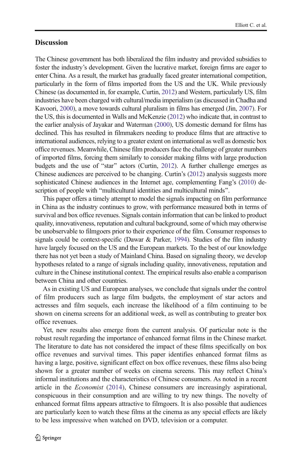## **Discussion**

The Chinese government has both liberalized the film industry and provided subsidies to foster the industry's development. Given the lucrative market, foreign firms are eager to enter China. As a result, the market has gradually faced greater international competition, particularly in the form of films imported from the US and the UK. While previously Chinese (as documented in, for example, Curtin, [2012](#page-31-0)) and Western, particularly US, film industries have been charged with cultural/media imperialism (as discussed in Chadha and Kavoori, [2000](#page-30-0)), a move towards cultural pluralism in films has emerged (Jin, [2007](#page-31-0)). For the US, this is documented in Walls and McKenzie ([2012\)](#page-32-0) who indicate that, in contrast to the earlier analysis of Jayakar and Waterman ([2000\)](#page-31-0), US domestic demand for films has declined. This has resulted in filmmakers needing to produce films that are attractive to international audiences, relying to a greater extent on international as well as domestic box office revenues. Meanwhile, Chinese film producers face the challenge of greater numbers of imported films, forcing them similarly to consider making films with large production budgets and the use of "star" actors (Curtin, [2012\)](#page-31-0). A further challenge emerges as Chinese audiences are perceived to be changing. Curtin's [\(2012\)](#page-31-0) analysis suggests more sophisticated Chinese audiences in the Internet age, complementing Fang's [\(2010\)](#page-31-0) description of people with "multicultural identities and multicultural minds".

This paper offers a timely attempt to model the signals impacting on film performance in China as the industry continues to grow, with performance measured both in terms of survival and box office revenues. Signals contain information that can be linked to product quality, innovativeness, reputation and cultural background, some of which may otherwise be unobservable to filmgoers prior to their experience of the film. Consumer responses to signals could be context-specific (Dawar & Parker, [1994](#page-31-0)). Studies of the film industry have largely focused on the US and the European markets. To the best of our knowledge there has not yet been a study of Mainland China. Based on signaling theory, we develop hypotheses related to a range of signals including quality, innovativeness, reputation and culture in the Chinese institutional context. The empirical results also enable a comparison between China and other countries.

As in existing US and European analyses, we conclude that signals under the control of film producers such as large film budgets, the employment of star actors and actresses and film sequels, each increase the likelihood of a film continuing to be shown on cinema screens for an additional week, as well as contributing to greater box office revenues.

Yet, new results also emerge from the current analysis. Of particular note is the robust result regarding the importance of enhanced format films in the Chinese market. The literature to date has not considered the impact of these films specifically on box office revenues and survival times. This paper identifies enhanced format films as having a large, positive, significant effect on box office revenues, these films also being shown for a greater number of weeks on cinema screens. This may reflect China's informal institutions and the characteristics of Chinese consumers. As noted in a recent article in the Economist [\(2014\)](#page-31-0), Chinese consumers are increasingly aspirational, conspicuous in their consumption and are willing to try new things. The novelty of enhanced format films appears attractive to filmgoers. It is also possible that audiences are particularly keen to watch these films at the cinema as any special effects are likely to be less impressive when watched on DVD, television or a computer.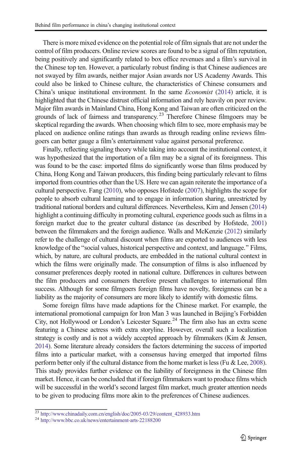There is more mixed evidence on the potential role of film signals that are not under the control of film producers. Online review scores are found to be a signal of film reputation, being positively and significantly related to box office revenues and a film's survival in the Chinese top ten. However, a particularly robust finding is that Chinese audiences are not swayed by film awards, neither major Asian awards nor US Academy Awards. This could also be linked to Chinese culture, the characteristics of Chinese consumers and China's unique institutional environment. In the same Economist ([2014\)](#page-31-0) article, it is highlighted that the Chinese distrust official information and rely heavily on peer review. Major film awards in Mainland China, Hong Kong and Taiwan are often criticized on the grounds of lack of fairness and transparency.<sup>23</sup> Therefore Chinese filmgoers may be skeptical regarding the awards. When choosing which film to see, more emphasis may be placed on audience online ratings than awards as through reading online reviews filmgoers can better gauge a film's entertainment value against personal preference.

Finally, reflecting signaling theory while taking into account the institutional context, it was hypothesized that the importation of a film may be a signal of its foreignness. This was found to be the case: imported films do significantly worse than films produced by China, Hong Kong and Taiwan producers, this finding being particularly relevant to films imported from countries other than the US. Here we can again reiterate the importance of a cultural perspective. Fang [\(2010](#page-31-0)), who opposes Hofstede [\(2007\)](#page-31-0), highlights the scope for people to absorb cultural learning and to engage in information sharing, unrestricted by traditional national borders and cultural differences. Nevertheless, Kim and Jensen [\(2014](#page-31-0)) highlight a continuing difficulty in promoting cultural, experience goods such as films in a foreign market due to the greater cultural distance (as described by Hofstede, [2001](#page-31-0)) between the filmmakers and the foreign audience. Walls and McKenzie [\(2012](#page-32-0)) similarly refer to the challenge of cultural discount when films are exported to audiences with less knowledge of the "social values, historical perspective and context, and language." Films, which, by nature, are cultural products, are embedded in the national cultural context in which the films were originally made. The consumption of films is also influenced by consumer preferences deeply rooted in national culture. Differences in cultures between the film producers and consumers therefore present challenges to international film success. Although for some filmgoers foreign films have novelty, foreignness can be a liability as the majority of consumers are more likely to identify with domestic films.

Some foreign films have made adaptions for the Chinese market. For example, the international promotional campaign for Iron Man 3 was launched in Beijing's Forbidden City, not Hollywood or London's Leicester Square.<sup>24</sup> The firm also has an extra scene featuring a Chinese actress with extra storyline. However, overall such a localization strategy is costly and is not a widely accepted approach by filmmakers (Kim & Jensen, [2014](#page-31-0)). Some literature already considers the factors determining the success of imported films into a particular market, with a consensus having emerged that imported films perform better only if the cultural distance from the home market is less (Fu & Lee, [2008\)](#page-31-0). This study provides further evidence on the liability of foreignness in the Chinese film market. Hence, it can be concluded that if foreign filmmakers want to produce films which will be successful in the world's second largest film market, much greater attention needs to be given to producing films more akin to the preferences of Chinese audiences.

<sup>23</sup> [http://www.chinadaily.com.cn/english/doc/2005-03/29/content\\_428933.htm](http://www.chinadaily.com.cn/english/doc/2005-03/29/content_428933.htm) <sup>24</sup> <http://www.bbc.co.uk/news/entertainment-arts-22188200>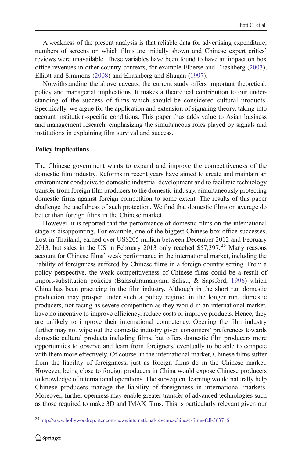A weakness of the present analysis is that reliable data for advertising expenditure, numbers of screens on which films are initially shown and Chinese expert critics' reviews were unavailable. These variables have been found to have an impact on box office revenues in other country contexts, for example Elberse and Eliashberg [\(2003\)](#page-31-0), Elliott and Simmons ([2008](#page-31-0)) and Eliashberg and Shugan [\(1997\)](#page-31-0).

Notwithstanding the above caveats, the current study offers important theoretical, policy and managerial implications. It makes a theoretical contribution to our understanding of the success of films which should be considered cultural products. Specifically, we argue for the application and extension of signaling theory, taking into account institution-specific conditions. This paper thus adds value to Asian business and management research, emphasizing the simultaneous roles played by signals and institutions in explaining film survival and success.

#### Policy implications

The Chinese government wants to expand and improve the competitiveness of the domestic film industry. Reforms in recent years have aimed to create and maintain an environment conducive to domestic industrial development and to facilitate technology transfer from foreign film producers to the domestic industry, simultaneously protecting domestic firms against foreign competition to some extent. The results of this paper challenge the usefulness of such protection. We find that domestic films on average do better than foreign films in the Chinese market.

However, it is reported that the performance of domestic films on the international stage is disappointing. For example, one of the biggest Chinese box office successes, Lost in Thailand, earned over US\$205 million between December 2012 and February 2013, but sales in the US in February 2013 only reached \$57,397.<sup>25</sup> Many reasons account for Chinese films' weak performance in the international market, including the liability of foreignness suffered by Chinese films in a foreign country setting. From a policy perspective, the weak competitiveness of Chinese films could be a result of import-substitution policies (Balasubramanyam, Salisu, & Sapsford, [1996](#page-30-0)) which China has been practicing in the film industry. Although in the short run domestic production may prosper under such a policy regime, in the longer run, domestic producers, not facing as severe competition as they would in an international market, have no incentive to improve efficiency, reduce costs or improve products. Hence, they are unlikely to improve their international competency. Opening the film industry further may not wipe out the domestic industry given consumers' preferences towards domestic cultural products including films, but offers domestic film producers more opportunities to observe and learn from foreigners, eventually to be able to compete with them more effectively. Of course, in the international market, Chinese films suffer from the liability of foreignness, just as foreign films do in the Chinese market. However, being close to foreign producers in China would expose Chinese producers to knowledge of international operations. The subsequent learning would naturally help Chinese producers manage the liability of foreignness in international markets. Moreover, further openness may enable greater transfer of advanced technologies such as those required to make 3D and IMAX films. This is particularly relevant given our

<sup>25</sup> <http://www.hollywoodreporter.com/news/international-revenue-chinese-films-fell-563716>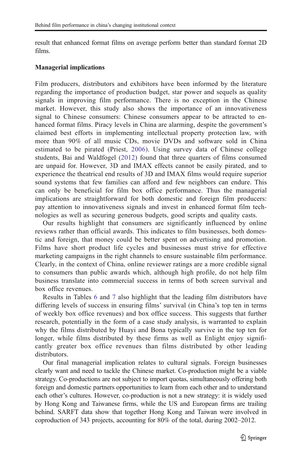result that enhanced format films on average perform better than standard format 2D films.

#### Managerial implications

Film producers, distributors and exhibitors have been informed by the literature regarding the importance of production budget, star power and sequels as quality signals in improving film performance. There is no exception in the Chinese market. However, this study also shows the importance of an innovativeness signal to Chinese consumers: Chinese consumers appear to be attracted to enhanced format films. Piracy levels in China are alarming, despite the government's claimed best efforts in implementing intellectual property protection law, with more than 90% of all music CDs, movie DVDs and software sold in China estimated to be pirated (Priest, [2006\)](#page-32-0). Using survey data of Chinese college students, Bai and Waldfogel [\(2012\)](#page-30-0) found that three quarters of films consumed are unpaid for. However, 3D and IMAX effects cannot be easily pirated, and to experience the theatrical end results of 3D and IMAX films would require superior sound systems that few families can afford and few neighbors can endure. This can only be beneficial for film box office performance. Thus the managerial implications are straightforward for both domestic and foreign film producers: pay attention to innovativeness signals and invest in enhanced format film technologies as well as securing generous budgets, good scripts and quality casts.

Our results highlight that consumers are significantly influenced by online reviews rather than official awards. This indicates to film businesses, both domestic and foreign, that money could be better spent on advertising and promotion. Films have short product life cycles and businesses must strive for effective marketing campaigns in the right channels to ensure sustainable film performance. Clearly, in the context of China, online reviewer ratings are a more credible signal to consumers than public awards which, although high profile, do not help film business translate into commercial success in terms of both screen survival and box office revenues.

Results in Tables [6](#page-21-0) and [7](#page-24-0) also highlight that the leading film distributors have differing levels of success in ensuring films' survival (in China's top ten in terms of weekly box office revenues) and box office success. This suggests that further research, potentially in the form of a case study analysis, is warranted to explain why the films distributed by Huayi and Bona typically survive in the top ten for longer, while films distributed by these firms as well as Enlight enjoy significantly greater box office revenues than films distributed by other leading distributors.

Our final managerial implication relates to cultural signals. Foreign businesses clearly want and need to tackle the Chinese market. Co-production might be a viable strategy. Co-productions are not subject to import quotas, simultaneously offering both foreign and domestic partners opportunities to learn from each other and to understand each other's cultures. However, co-production is not a new strategy: it is widely used by Hong Kong and Taiwanese firms, while the US and European firms are trailing behind. SARFT data show that together Hong Kong and Taiwan were involved in coproduction of 343 projects, accounting for 80% of the total, during 2002–2012.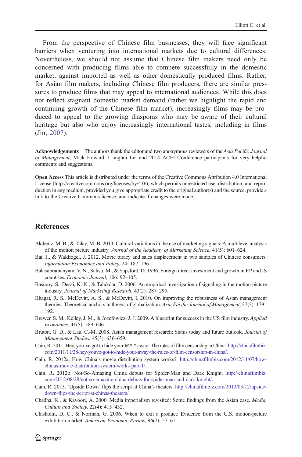<span id="page-30-0"></span>From the perspective of Chinese film businesses, they will face significant barriers when venturing into international markets due to cultural differences. Nevertheless, we should not assume that Chinese film makers need only be concerned with producing films able to compete successfully in the domestic market, against imported as well as other domestically produced films. Rather, for Asian film makers, including Chinese film producers, there are similar pressures to produce films that may appeal to international audiences. While this does not reflect stagnant domestic market demand (rather we highlight the rapid and continuing growth of the Chinese film market), increasingly films may be produced to appeal to the growing diasporas who may be aware of their cultural heritage but also who enjoy increasingly international tastes, including in films (Jin, [2007\)](#page-31-0).

Acknowledgements The authors thank the editor and two anonymous reviewers of the Asia Pacific Journal of Management, Mick Howard, Lianghui Lei and 2014 ACEI Conference participants for very helpful comments and suggestions.

Open Access This article is distributed under the terms of the Creative Commons Attribution 4.0 International License (http://creativecommons.org/licenses/by/4.0/), which permits unrestricted use, distribution, and reproduction in any medium, provided you give appropriate credit to the original author(s) and the source, provide a link to the Creative Commons license, and indicate if changes were made.

## **References**

- Akdeniz, M. B., & Talay, M. B. 2013. Cultural variations in the use of marketing signals: A multilevel analysis of the motion picture industry. Journal of the Academy of Marketing Science, 41(5): 601–624.
- Bai, J., & Waldfogel, J. 2012. Movie piracy and sales displacement in two samples of Chinese consumers. Information Economics and Policy, 24: 187–196.
- Balasubramanyam, V. N., Salisu, M., & Sapsford, D. 1996. Foreign direct investment and growth in EP and IS countries. Economic Journal, 106: 92–105.
- Basuroy, S., Desai, K. K., & Talukdar, D. 2006. An empirical investigation of signaling in the motion picture industry. Journal of Marketing Research, 43(2): 287–295.
- Bhagat, R. S., McDevitt, A. S., & McDevitt, I. 2010. On improving the robustness of Asian management theories: Theoretical anchors in the era of globalization. Asia Pacific Journal of Management, 27(2): 179– 192.
- Brewer, S. M., Kelley, J. M., & Jozefowicz, J. J. 2009. A blueprint for success in the US film industry. Applied Economics, 41(5): 589–606.
- Bruton, G. D., & Lau, C.-M. 2008. Asian management research: Status today and future outlook. Journal of Management Studies, 45(3): 636–659.
- Cain, R. 2011. Hey, you've got to hide your @#!\* away: The rules of film censorship in China. [http://chinafilmbiz.](http://chinafilmbiz.com/2011/11/28/hey-youve-got-to-hide-your-away-the-rules-of-film-censorship-in-china/) [com/2011/11/28/hey-youve-got-to-hide-your-away-the-rules-of-film-censorship-in-china/.](http://chinafilmbiz.com/2011/11/28/hey-youve-got-to-hide-your-away-the-rules-of-film-censorship-in-china/)
- Cain, R. 2012a. How China's movie distribution system works?. [http://chinafilmbiz.com/2012/11/07/how](http://chinafilmbiz.com/2012/11/07/how-chinas-movie-distribution-system-works-part-1/)[chinas-movie-distribution-system-works-part-1/](http://chinafilmbiz.com/2012/11/07/how-chinas-movie-distribution-system-works-part-1/).
- Cain, R. 2012b. Not-So-Amazing China debuts for Spider-Man and Dark Knight. [http://chinafilmbiz.](http://chinafilmbiz.com/2012/08/28/not-so-amazing-china-debuts-for-spider-man-and-dark-knight/) [com/2012/08/28/not-so-amazing-china-debuts-for-spider-man-and-dark-knight/](http://chinafilmbiz.com/2012/08/28/not-so-amazing-china-debuts-for-spider-man-and-dark-knight/).
- Cain, R. 2013. 'Upside Down' flips the script at China's theaters. [http://chinafilmbiz.com/2013/03/12/upside](http://chinafilmbiz.com/2013/03/12/upside-down-flips-the-script-at-chinas-theaters/)[down-flips-the-script-at-chinas-theaters/](http://chinafilmbiz.com/2013/03/12/upside-down-flips-the-script-at-chinas-theaters/).
- Chadha, K., & Kavoori, A. 2000. Media imperialism revisited: Some findings from the Asian case. Media, Culture and Society, 22(4): 415–432.
- Chisholm, D. C., & Norman, G. 2006. When to exit a product: Evidence from the U.S. motion-picture exhibition market. American Economic Review, 96(2): 57–61.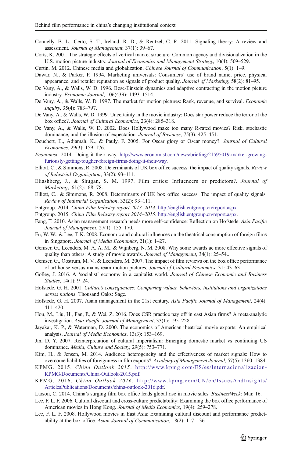- <span id="page-31-0"></span>Connelly, B. L., Certo, S. T., Ireland, R. D., & Reutzel, C. R. 2011. Signaling theory: A review and assessment. Journal of Management, 37(1): 39–67.
- Corts, K. 2001. The strategic effects of vertical market structure: Common agency and divisionalization in the U.S. motion picture industry. Journal of Economics and Management Strategy, 10(4): 509–529.
- Curtin, M. 2012. Chinese media and globalization. Chinese Journal of Communication, 5(1): 1–9.
- Dawar, N., & Parker, P. 1994. Marketing universals: Consumers' use of brand name, price, physical appearance, and retailer reputation as signals of product quality. Journal of Marketing, 58(2): 81–95.
- De Vany, A., & Walls, W. D. 1996. Bose-Einstein dynamics and adaptive contracting in the motion picture industry. Economic Journal, 106(439): 1493–1514.
- De Vany, A., & Walls, W. D. 1997. The market for motion pictures: Rank, revenue, and survival. Economic Inquiry, 35(4): 783–797.
- De Vany, A., & Walls, W. D. 1999. Uncertainty in the movie industry: Does star power reduce the terror of the box office?. Journal of Cultural Economics, 23(4): 285–318.
- De Vany, A., & Walls, W. D. 2002. Does Hollywood make too many R-rated movies? Risk, stochastic dominance, and the illusion of expectation. Journal of Business, 75(3): 425–451.
- Deuchert, E., Adjamah, K., & Pauly, F. 2005. For Oscar glory or Oscar money?. Journal of Cultural Economics, 29(3): 159–176.
- Economist. 2014. Doing it their way. [http://www.economist.com/news/briefing/21595019-market-growing](http://www.economist.com/news/briefing/21595019-market-growing-furiously-getting-tougher-foreign-firms-doing-it-their-way)[furiously-getting-tougher-foreign-firms-doing-it-their-way.](http://www.economist.com/news/briefing/21595019-market-growing-furiously-getting-tougher-foreign-firms-doing-it-their-way)
- Elliott, C., & Simmons, R. 2008. Determinants of UK box office success: the impact of quality signals. Review of Industrial Organization, 33(2): 93–111.
- Eliashberg, J., & Shugan, S. M. 1997. Film critics: Influencers or predictors?. Journal of Marketing, 61(2): 68–78.
- Elliott, C., & Simmons, R. 2008. Determinants of UK box office success: The impact of quality signals. Review of Industrial Organization, 33(2): 93–111.
- Entgroup. 2014. China Film Industry report 2013–2014. <http://english.entgroup.cn/report.aspx>.
- Entgroup. 2015. China Film Industry report 2014–2015. <http://english.entgroup.cn/report.aspx>.
- Fang, T. 2010. Asian management research needs more self-confidence: Reflection on Hofstede. Asia Pacific Journal of Management, 27(1): 155–170.
- Fu, W. W., & Lee, T. K. 2008. Economic and cultural influences on the theatrical consumption of foreign films in Singapore. Journal of Media Economics, 21(1): 1–27.
- Gemser, G., Leenders, M. A. A. M., & Wijnberg, N. M. 2008. Why some awards ae more effective signals of quality than others: A study of movie awards. Journal of Management, 34(1): 25–54..
- Gemser, G., Oostrum, M. V., & Leenders, M. 2007. The impact of film reviews on the box office performance of art house versus mainstream motion pictures. Journal of Cultural Economics, 31: 43–63
- Golley, J. 2016. A 'socialist' economy in a capitalist world. Journal of Chinese Economic and Business Studies, 14(1): 9–24.
- Hofstede, G. H. 2001. Culture's consequences: Comparing values, behaviors, institutions and organizations across nations. Thousand Oaks: Sage.
- Hofstede, G. H. 2007. Asian management in the 21st century. Asia Pacific Journal of Management, 24(4): 411–420.
- Hou, M., Liu, H., Fan, P., & Wei, Z. 2016. Does CSR practice pay off in east Asian firms? A meta-analytic investigation. Asia Pacific Journal of Management, 33(1): 195–228.
- Jayakar, K. P., & Waterman, D. 2000. The economics of American theatrical movie exports: An empirical analysis. Journal of Media Economics, 13(3): 153–169.
- Jin, D. Y. 2007. Reinterpretation of cultural imperialism: Emerging domestic market vs continuing US dominance. Media, Culture and Society, 29(5): 753-771.
- Kim, H., & Jensen, M. 2014. Audience heterogeneity and the effectiveness of market signals: How to overcome liabilities of foreignness in film exports?. Academy of Management Journal, 57(5): 1360–1384.
- KPMG. 2015. China Outlook 2015. [http://www.kpmg.com/ES/es/Internacionalizacion-](http://www.kpmg.com/ES/es/Internacionalizacion-KPMG/Documents/China-Outlook-2015.pdf)[KPMG/Documents/China-Outlook-2015.pdf.](http://www.kpmg.com/ES/es/Internacionalizacion-KPMG/Documents/China-Outlook-2015.pdf)
- KPMG. 2016. China Outlook 2016. [http://www.kpmg.com/CN/en/IssuesAndInsights/](http://www.kpmg.com/CN/en/IssuesAndInsights/ArticlesPublications/Documents/china-outlook-2016.pdf) [ArticlesPublications/Documents/china-outlook-2016.pdf](http://www.kpmg.com/CN/en/IssuesAndInsights/ArticlesPublications/Documents/china-outlook-2016.pdf).
- Larson, C. 2014. China's surging film box office leads global rise in movie sales. BusinessWeek: Mar. 16.
- Lee, F. L. F. 2006. Cultural discount and cross-culture predictability: Examining the box office performance of American movies in Hong Kong. Journal of Media Economics, 19(4): 259–278.
- Lee, F. L. F. 2008. Hollywood movies in East Asia: Examining cultural discount and performance predictability at the box office. Asian Journal of Communication, 18(2): 117–136.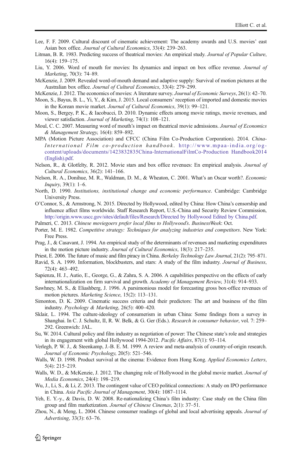- <span id="page-32-0"></span>Lee, F. F. 2009. Cultural discount of cinematic achievement: The academy awards and U.S. movies' east Asian box office. Journal of Cultural Economics, 33(4): 239–263.
- Litman, B. R. 1983. Predicting success of theatrical movies: An empirical study. Journal of Popular Culture, 16(4): 159–175.
- Liu, Y. 2006. Word of mouth for movies: Its dynamics and impact on box office revenue. Journal of Marketing, 70(3): 74–89.
- McKenzie, J. 2009. Revealed word-of-mouth demand and adaptive supply: Survival of motion pictures at the Australian box office. Journal of Cultural Economics, 33(4): 279–299.

McKenzie, J. 2012. The economics of movies: A literature survey. Journal of Economic Surveys, 26(1): 42–70.

- Moon, S., Bayus, B. L., Yi, Y., & Kim, J. 2015. Local consumers' reception of imported and domestic movies in the Korean movie market. Journal of Cultural Economics, 39(1): 99–121.
- Moon, S., Bergey, P. K., & Iacobucci, D. 2010. Dynamic effects among movie ratings, movie revenues, and viewer satisfaction. Journal of Marketing, 74(1): 108–121.
- Moul, C. C. 2007. Measuring word of mouth's impact on theatrical movie admissions. Journal of Economics & Management Strategy, 16(4): 859–892.
- MPA (Motion Picture Association) and CFCC (China Film Co-Production Corporation). 2014. China-International Film co-production handbook . [http://www.mpaa-india.org/og](http://www.mpaa-india.org/og-content/uploads/documents/1423832835China-InternationalFilmCo-Production%20Handbook2014(English).pdf)[content/uploads/documents/1423832835China-InternationalFilmCo-Production Handbook2014](http://www.mpaa-india.org/og-content/uploads/documents/1423832835China-InternationalFilmCo-Production%20Handbook2014(English).pdf) [\(English\).pdf](http://www.mpaa-india.org/og-content/uploads/documents/1423832835China-InternationalFilmCo-Production%20Handbook2014(English).pdf).
- Nelson, R., & Glotfelty, R. 2012. Movie stars and box office revenues: En empirical analysis. Journal of Cultural Economics, 36(2): 141–166.
- Nelson, R. A., Donihue, M. R., Waldman, D. M., & Wheaton, C. 2001. What's an Oscar worth?. Economic Inquiry, 39(1): 1–6.
- North, D. 1990. Institutions, institutional change and economic performance. Cambridge: Cambridge University Press.
- O'Connor, S., & Armstrong, N. 2015. Directed by Hollywood, edited by China: How China's censorship and influence affect films worldwide. Staff Research Report, U.S.-China and Security Review Commission, [http://origin.www.uscc.gov/sites/default/files/Research/Directed by Hollywood Edited by China.pdf.](http://origin.www.uscc.gov/sites/default/files/Research/Directed%20by%20Hollywood%20Edited%20by%20China.pdf)
- Palmeri, C. 2013. Chinese moviegoers prefer local films to Hollywood's. BusinessWeek: Oct.
- Porter, M. E. 1982. Competitive strategy: Techniques for analyzing industries and competitors. New York: Free Press.
- Prag, J., & Casavant, J. 1994. An empirical study of the determinants of revenues and marketing expenditures in the motion picture industry. Journal of Cultural Economics, 18(3): 217–235.
- Priest, E. 2006. The future of music and film piracy in China. Berkeley Technology Law Journal, 21(2): 795–871.
- Ravid, S. A. 1999. Information, blockbusters, and stars: A study of the film industry. Journal of Business, 72(4): 463–492.
- Sapienza, H. J., Autio, E., George, G., & Zahra, S. A. 2006. A capabilities perspective on the effects of early internationalization on firm survival and growth. Academy of Management Review, 31(4): 914–933.
- Sawhney, M. S., & Eliashberg, J. 1996. A parsimonious model for forecasting gross box-office revenues of motion pictures. *Marketing Science*, 15(2): 113–131.
- Simonton, D. K. 2009. Cinematic success criteria and their predictors: The art and business of the film industry. Psychology & Marketing, 26(5): 400–420.
- Sklair, L. 1994. The culture-ideology of consumerism in urban China: Some findings from a survey in Shanghai. In C. J. Schultz, II, R. W. Belk, & G. Ger (Eds.). Research in consumer behavior, vol. 7: 259– 292. Greenwich: JAL.
- Su, W. 2014. Cultural policy and film industry as negotiation of power: The Chinese state's role and strategies in its engagement with global Hollywood 1994-2012. Pacific Affairs, 87(1): 93–114.
- Verlegh, P. W. J., & Steenkamp, J.-B. E. M. 1999. A review and meta-analysis of country-of-origin research. Journal of Economic Psychology, 20(5): 521–546.
- Walls, W. D. 1998. Product survival at the cinema: Evidence from Hong Kong. Applied Economics Letters, 5(4): 215–219.
- Walls, W. D., & McKenzie, J. 2012. The changing role of Hollywood in the global movie market. Journal of Media Economics, 24(4): 198–219.
- Wu, J., Li, S., & Li, Z. 2013. The contingent value of CEO political connections: A study on IPO performance in China. Asia Pacific Journal of Management, 30(4): 1087–1114.
- Yeh, E. Y.-y., & Davis, D. W. 2008. Re-nationalizing China's film industry: Case study on the China film group and film marketization. Journal of Chinese Cinemas, 2(1): 37–51.
- Zhou, N., & Meng, L. 2004. Chinese consumer readings of global and local advertising appeals. Journal of Advertising, 33(3): 63–76.